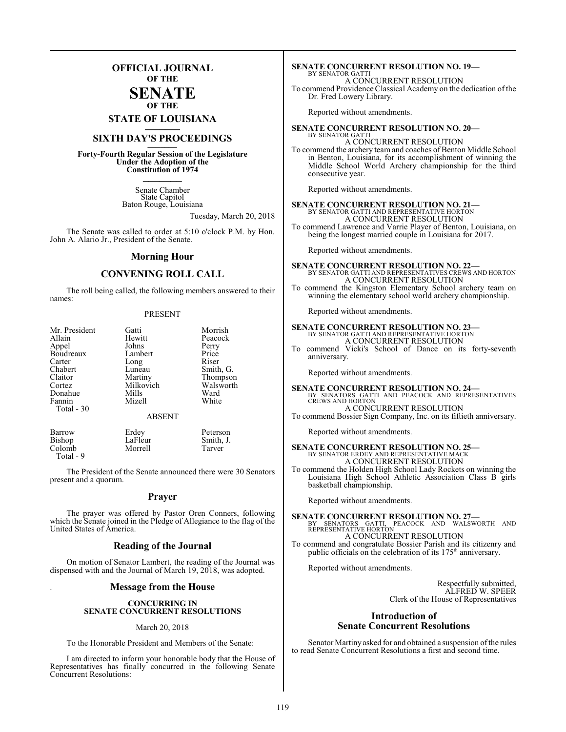### **OFFICIAL JOURNAL OF THE**

### **SENATE OF THE**

**STATE OF LOUISIANA \_\_\_\_\_\_\_**

### **SIXTH DAY'S PROCEEDINGS \_\_\_\_\_\_\_**

**Forty-Fourth Regular Session of the Legislature Under the Adoption of the Constitution of 1974 \_\_\_\_\_\_\_**

> Senate Chamber State Capitol Baton Rouge, Louisiana

> > Tuesday, March 20, 2018

The Senate was called to order at 5:10 o'clock P.M. by Hon. John A. Alario Jr., President of the Senate.

### **Morning Hour**

### **CONVENING ROLL CALL**

The roll being called, the following members answered to their names:

### PRESENT

| Mr. President<br>Allain<br>Appel<br>Boudreaux<br>Carter<br>Chabert<br>Claitor<br>Cortez<br>Donahue<br>Fannin<br>Total - 30 | Gatti<br>Hewitt<br>Johns<br>Lambert<br>Long<br>Luneau<br>Martiny<br>Milkovich<br>Mills<br>Mizell | Morrish<br>Peacock<br>Perry<br>Price<br>Riser<br>Smith, G.<br>Thompson<br>Walsworth<br>Ward<br>White |
|----------------------------------------------------------------------------------------------------------------------------|--------------------------------------------------------------------------------------------------|------------------------------------------------------------------------------------------------------|
|                                                                                                                            | <b>ABSENT</b>                                                                                    |                                                                                                      |
| Barrow<br><b>Bishop</b><br>Colomb                                                                                          | Erdey<br>LaFleur<br>Morrell                                                                      | Peterson<br>Smith, J.<br>Tarver                                                                      |

The President of the Senate announced there were 30 Senators present and a quorum.

Colomb Total - 9

### **Prayer**

The prayer was offered by Pastor Oren Conners, following which the Senate joined in the Pledge of Allegiance to the flag of the United States of America.

### **Reading of the Journal**

On motion of Senator Lambert, the reading of the Journal was dispensed with and the Journal of March 19, 2018, was adopted.

### . **Message from the House**

### **CONCURRING IN SENATE CONCURRENT RESOLUTIONS**

### March 20, 2018

To the Honorable President and Members of the Senate:

I am directed to inform your honorable body that the House of Representatives has finally concurred in the following Senate Concurrent Resolutions:

#### **SENATE CONCURRENT RESOLUTION NO. 19—** BY SENATOR GATTI

A CONCURRENT RESOLUTION

To commend Providence Classical Academy on the dedication of the Dr. Fred Lowery Library.

Reported without amendments.

#### **SENATE CONCURRENT RESOLUTION NO. 20—** BY SENATOR GATTI A CONCURRENT RESOLUTION

To commend the archery team and coaches of Benton Middle School in Benton, Louisiana, for its accomplishment of winning the Middle School World Archery championship for the third consecutive year.

Reported without amendments.

### **SENATE CONCURRENT RESOLUTION NO. 21—** BY SENATOR GATTI AND REPRESENTATIVE HORTON A CONCURRENT RESOLUTION

To commend Lawrence and Varrie Player of Benton, Louisiana, on being the longest married couple in Louisiana for 2017.

Reported without amendments.

### **SENATE CONCURRENT RESOLUTION NO. 22—** BY SENATOR GATTI AND REPRESENTATIVES CREWS AND HORTON A CONCURRENT RESOLUTION

To commend the Kingston Elementary School archery team on winning the elementary school world archery championship.

Reported without amendments.

### **SENATE CONCURRENT RESOLUTION NO. 23—** BY SENATOR GATTI AND REPRESENTATIVE HORTON A CONCURRENT RESOLUTION

To commend Vicki's School of Dance on its forty-seventh anniversary.

Reported without amendments.

### **SENATE CONCURRENT RESOLUTION NO. 24—** BY SENATORS GATTI AND PEACOCK AND REPRESENTATIVES CREWS AND HORTON A CONCURRENT RESOLUTION

To commend Bossier Sign Company, Inc. on its fiftieth anniversary.

Reported without amendments.

## **SENATE CONCURRENT RESOLUTION NO. 25—**<br>BY SENATOR ERDEY AND REPRESENTATIVE MACK<br>A CONCURRENT RESOLUTION

To commend the Holden High School Lady Rockets on winning the Louisiana High School Athletic Association Class B girls basketball championship.

Reported without amendments.

**SENATE CONCURRENT RESOLUTION NO. 27—**<br>BY SENATORS GATTI, PEACOCK AND WALSWORTH AND<br>REPRESENTATIVE HORTON A CONCURRENT RESOLUTION

To commend and congratulate Bossier Parish and its citizenry and public officials on the celebration of its 175<sup>th</sup> anniversary.

Reported without amendments.

Respectfully submitted, ALFRED W. SPEER Clerk of the House of Representatives

### **Introduction of Senate Concurrent Resolutions**

Senator Martiny asked for and obtained a suspension ofthe rules to read Senate Concurrent Resolutions a first and second time.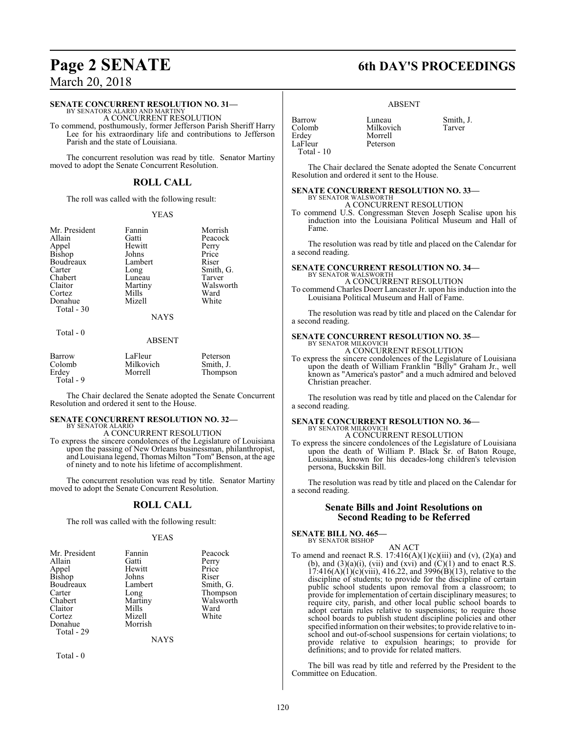### **SENATE CONCURRENT RESOLUTION NO. 31—**

BY SENATORS ALARIO AND MARTINY A CONCURRENT RESOLUTION

To commend, posthumously, former Jefferson Parish Sheriff Harry Lee for his extraordinary life and contributions to Jefferson Parish and the state of Louisiana.

The concurrent resolution was read by title. Senator Martiny moved to adopt the Senate Concurrent Resolution.

### **ROLL CALL**

The roll was called with the following result:

### YEAS

Mr. President Fannin Morrish<br>Allain Gatti Peacock Allain Gatti Peacock Bishop Johns Price<br>Boudreaux Lambert Riser Boudreaux Lamb<br>Carter Long Carter Long Smith, G.<br>
Chabert Luneau Tarver Chabert Luneau<br>Claitor Martiny Claitor Martiny Walsworth<br>
Cortez Mills Ward Cortez Mills Ward Donahue Mizell White Total - 30

Hewitt Perry<br>Johns Price

### NAYS

### Total - 0

### ABSENT

| Barrow<br>Colomb<br>Erdey<br>Total - 9 | LaFleur<br>Milkovich<br>Morrell | Peterson<br>Smith, J.<br>Thompson |
|----------------------------------------|---------------------------------|-----------------------------------|
|                                        |                                 |                                   |

The Chair declared the Senate adopted the Senate Concurrent Resolution and ordered it sent to the House.

### **SENATE CONCURRENT RESOLUTION NO. 32—** BY SENATOR ALARIO

A CONCURRENT RESOLUTION

To express the sincere condolences of the Legislature of Louisiana upon the passing of New Orleans businessman, philanthropist, and Louisiana legend, Thomas Milton "Tom" Benson, at the age of ninety and to note his lifetime of accomplishment.

The concurrent resolution was read by title. Senator Martiny moved to adopt the Senate Concurrent Resolution.

### **ROLL CALL**

The roll was called with the following result:

### YEAS

| Mr. President   | Fannin          | Peacock   |
|-----------------|-----------------|-----------|
| Allain          | Gatti           | Perry     |
|                 | Hewitt          | Price     |
| Appel<br>Bishop | Johns           | Riser     |
| Boudreaux       | Lambert         | Smith, G. |
| Carter          |                 | Thompson  |
| Chabert         | Long<br>Martiny | Walsworth |
| Claitor         | Mills           | Ward      |
| Cortez          | Mizell          | White     |
| Donahue         | Morrish         |           |
| Total - 29      |                 |           |
|                 | NAVS            |           |

Total - 0

## **Page 2 SENATE 6th DAY'S PROCEEDINGS**

### ABSENT

| Barrow     |  |
|------------|--|
| Colomb     |  |
| Erdev      |  |
| LaFleur    |  |
| Total - 10 |  |

Luneau Smith, J.<br>Milkovich Tarver

The Chair declared the Senate adopted the Senate Concurrent Resolution and ordered it sent to the House.

### **SENATE CONCURRENT RESOLUTION NO. 33—** BY SENATOR WALSWORTH

Milkovich Morrell Peterson

A CONCURRENT RESOLUTION

To commend U.S. Congressman Steven Joseph Scalise upon his induction into the Louisiana Political Museum and Hall of Fame.

The resolution was read by title and placed on the Calendar for a second reading.

#### **SENATE CONCURRENT RESOLUTION NO. 34—** BY SENATOR WALSWORTH

A CONCURRENT RESOLUTION To commend Charles Doerr Lancaster Jr. upon his induction into the Louisiana Political Museum and Hall of Fame.

The resolution was read by title and placed on the Calendar for a second reading.

### **SENATE CONCURRENT RESOLUTION NO. 35—** BY SENATOR MILKOVICH

A CONCURRENT RESOLUTION

To express the sincere condolences of the Legislature of Louisiana upon the death of William Franklin "Billy" Graham Jr., well known as "America's pastor" and a much admired and beloved Christian preacher.

The resolution was read by title and placed on the Calendar for a second reading.

## **SENATE CONCURRENT RESOLUTION NO. 36—** BY SENATOR MILKOVICH

A CONCURRENT RESOLUTION

To express the sincere condolences of the Legislature of Louisiana upon the death of William P. Black Sr. of Baton Rouge, Louisiana, known for his decades-long children's television persona, Buckskin Bill.

The resolution was read by title and placed on the Calendar for a second reading.

### **Senate Bills and Joint Resolutions on Second Reading to be Referred**

**SENATE BILL NO. 465—** BY SENATOR BISHOP

AN ACT

To amend and reenact R.S.  $17:416(A)(1)(c)(iii)$  and  $(v)$ ,  $(2)(a)$  and (b), and  $(3)(a)(i)$ , (vii) and (xvi) and  $(C)(1)$  and to enact R.S.  $17:416(A)(1)(c)(viii)$ ,  $416.22$ , and  $3996(B)(13)$ , relative to the discipline of students; to provide for the discipline of certain public school students upon removal from a classroom; to provide for implementation of certain disciplinary measures; to require city, parish, and other local public school boards to adopt certain rules relative to suspensions; to require those school boards to publish student discipline policies and other specified information on their websites; to provide relative to inschool and out-of-school suspensions for certain violations; to provide relative to expulsion hearings; to provide for definitions; and to provide for related matters.

The bill was read by title and referred by the President to the Committee on Education.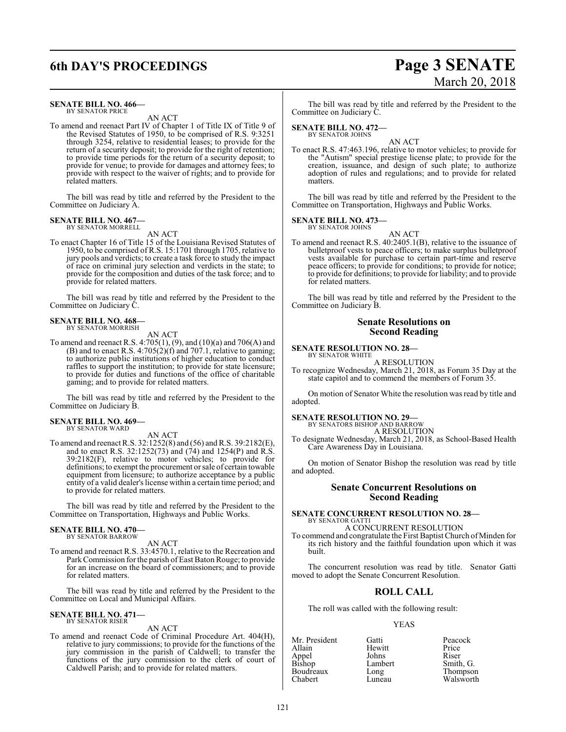## **6th DAY'S PROCEEDINGS Page 3 SENATE**

### **SENATE BILL NO. 466—** BY SENATOR PRICE

AN ACT

To amend and reenact Part IV of Chapter 1 of Title IX of Title 9 of the Revised Statutes of 1950, to be comprised of R.S. 9:3251 through 3254, relative to residential leases; to provide for the return of a security deposit; to provide for the right of retention; to provide time periods for the return of a security deposit; to provide for venue; to provide for damages and attorney fees; to provide with respect to the waiver of rights; and to provide for related matters.

The bill was read by title and referred by the President to the Committee on Judiciary A.

### **SENATE BILL NO. 467—** BY SENATOR MORRELL

AN ACT

To enact Chapter 16 of Title 15 of the Louisiana Revised Statutes of 1950, to be comprised of R.S. 15:1701 through 1705, relative to jury pools and verdicts; to create a task force to study the impact of race on criminal jury selection and verdicts in the state; to provide for the composition and duties of the task force; and to provide for related matters.

The bill was read by title and referred by the President to the Committee on Judiciary C.

### **SENATE BILL NO. 468—** BY SENATOR MORRISH

AN ACT

To amend and reenact R.S. 4:705(1), (9), and (10)(a) and 706(A) and (B) and to enact R.S. 4:705(2)(f) and 707.1, relative to gaming; to authorize public institutions of higher education to conduct raffles to support the institution; to provide for state licensure; to provide for duties and functions of the office of charitable gaming; and to provide for related matters.

The bill was read by title and referred by the President to the Committee on Judiciary B.

#### **SENATE BILL NO. 469—** BY SENATOR WARD

AN ACT

To amend and reenact R.S. 32:1252(8) and (56) and R.S. 39:2182(E), and to enact R.S. 32:1252(73) and (74) and 1254(P) and R.S. 39:2182(F), relative to motor vehicles; to provide for definitions; to exempt the procurement orsale of certain towable equipment from licensure; to authorize acceptance by a public entity of a valid dealer's license within a certain time period; and to provide for related matters.

The bill was read by title and referred by the President to the Committee on Transportation, Highways and Public Works.

#### **SENATE BILL NO. 470—** BY SENATOR BARROW

AN ACT

To amend and reenact R.S. 33:4570.1, relative to the Recreation and ParkCommission for the parish of East Baton Rouge; to provide for an increase on the board of commissioners; and to provide for related matters.

The bill was read by title and referred by the President to the Committee on Local and Municipal Affairs.

#### **SENATE BILL NO. 471—** BY SENATOR RISER

AN ACT

To amend and reenact Code of Criminal Procedure Art. 404(H), relative to jury commissions; to provide for the functions of the jury commission in the parish of Caldwell; to transfer the functions of the jury commission to the clerk of court of Caldwell Parish; and to provide for related matters.

The bill was read by title and referred by the President to the Committee on Judiciary C.

### **SENATE BILL NO. 472—**

BY SENATOR JOHNS

AN ACT To enact R.S. 47:463.196, relative to motor vehicles; to provide for the "Autism" special prestige license plate; to provide for the creation, issuance, and design of such plate; to authorize adoption of rules and regulations; and to provide for related matters

The bill was read by title and referred by the President to the Committee on Transportation, Highways and Public Works.

### **SENATE BILL NO. 473—**<br>BY SENATOR JOHNS

AN ACT To amend and reenact R.S. 40:2405.1(B), relative to the issuance of bulletproof vests to peace officers; to make surplus bulletproof vests available for purchase to certain part-time and reserve peace officers; to provide for conditions; to provide for notice; to provide for definitions; to provide for liability; and to provide for related matters.

The bill was read by title and referred by the President to the Committee on Judiciary B.

### **Senate Resolutions on Second Reading**

### **SENATE RESOLUTION NO. 28—** BY SENATOR WHITE

A RESOLUTION

To recognize Wednesday, March 21, 2018, as Forum 35 Day at the state capitol and to commend the members of Forum 35.

On motion of Senator White the resolution was read by title and adopted.

### **SENATE RESOLUTION NO. 29—**

BY SENATORS BISHOP AND BARROW A RESOLUTION

To designate Wednesday, March 21, 2018, as School-Based Health Care Awareness Day in Louisiana.

On motion of Senator Bishop the resolution was read by title and adopted.

### **Senate Concurrent Resolutions on Second Reading**

### **SENATE CONCURRENT RESOLUTION NO. 28—** BY SENATOR GATTI A CONCURRENT RESOLUTION

To commend and congratulate the First Baptist Church ofMinden for its rich history and the faithful foundation upon which it was built.

The concurrent resolution was read by title. Senator Gatti moved to adopt the Senate Concurrent Resolution.

### **ROLL CALL**

The roll was called with the following result:

### YEAS

Mr. President Gatti Peacock<br>Allain Hewitt Price Allain Hewitt Price Appel Johns<br>Bishop Lambert Boudreaux Long<br>Chabert Luneau

Lambert Smith, G.<br>
Long Thompson Walsworth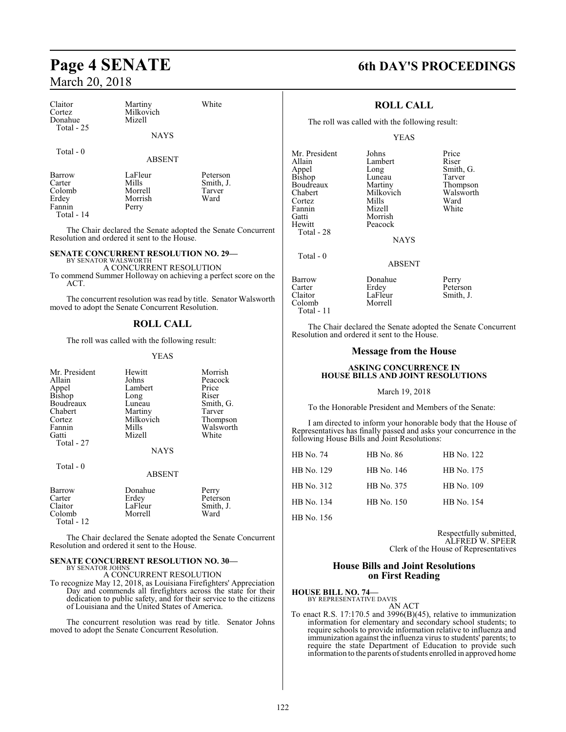| Claitor<br>Cortez<br>Donahue              | Martiny<br>Milkovich<br>Mizell               | White                                   |                                                   | <b>ROLL CALL</b><br>The roll was called with the following result: |                                         |
|-------------------------------------------|----------------------------------------------|-----------------------------------------|---------------------------------------------------|--------------------------------------------------------------------|-----------------------------------------|
| Total - 25                                | <b>NAYS</b>                                  |                                         |                                                   | YEAS                                                               |                                         |
| Total - 0                                 | <b>ABSENT</b>                                |                                         | Mr. President<br>Allain                           | Johns<br>Lambert                                                   | Price<br>Riser                          |
| Barrow<br>Carter<br>Colomb<br>Erdey<br>D. | LaFleur<br>Mills<br>Morrell<br>Morrish<br>n. | Peterson<br>Smith, J.<br>Tarver<br>Ward | Appel<br>Bishop<br>Boudreaux<br>Chabert<br>Cortez | Long<br>Luneau<br>Martiny<br>Milkovich<br>Mills                    | Smith<br>Tarve<br>Thom<br>Walsy<br>Ward |

Fannin Perry Total - 14

The Chair declared the Senate adopted the Senate Concurrent Resolution and ordered it sent to the House.

### **SENATE CONCURRENT RESOLUTION NO. 29—**

BY SENATOR WALSWORTH A CONCURRENT RESOLUTION

To commend Summer Holloway on achieving a perfect score on the ACT.

The concurrent resolution was read by title. Senator Walsworth moved to adopt the Senate Concurrent Resolution.

### **ROLL CALL**

The roll was called with the following result:

### YEAS

| Mr. President<br>Allain<br>Appel<br><b>Bishop</b><br>Boudreaux<br>Chabert<br>Cortez<br>Fannin<br>Gatti<br>Total - 27 | Hewitt<br>Johns<br>Lambert<br>Long<br>Luneau<br>Martiny<br>Milkovich<br>Mills<br>Mizell<br><b>NAYS</b> | Morrish<br>Peacock<br>Price<br>Riser<br>Smith, G.<br>Tarver<br>Thompson<br>Walsworth<br>White |
|----------------------------------------------------------------------------------------------------------------------|--------------------------------------------------------------------------------------------------------|-----------------------------------------------------------------------------------------------|
| Total - 0                                                                                                            | <b>ABSENT</b>                                                                                          |                                                                                               |
| $\overline{\phantom{a}}$                                                                                             | $\sim$                                                                                                 |                                                                                               |

| Barrow       | Donahue | Perry     |
|--------------|---------|-----------|
| Carter       | Erdey   | Peterson  |
| Claitor      | LaFleur | Smith, J. |
| Colomb       | Morrell | Ward      |
| Total - $12$ |         |           |

The Chair declared the Senate adopted the Senate Concurrent Resolution and ordered it sent to the House.

### **SENATE CONCURRENT RESOLUTION NO. 30—** BY SENATOR JOHNS

A CONCURRENT RESOLUTION

To recognize May 12, 2018, as Louisiana Firefighters' Appreciation Day and commends all firefighters across the state for their dedication to public safety, and for their service to the citizens of Louisiana and the United States of America.

The concurrent resolution was read by title. Senator Johns moved to adopt the Senate Concurrent Resolution.

### **Page 4 SENATE 6th DAY'S PROCEEDINGS**

### **ROLL CALL**

### YEAS

Fannin Mizell White Gatti Morrish<br>Hewitt Peacock Total - 28

Total - 0

Johns Price<br>
Lambert Riser Long Smith, G.<br>Luneau Tarver Martiny Thompson<br>Milkovich Walsworth Milkovich Walsworth<br>
Mills Ward

**NAYS** 

### ABSENT

| Barrow<br>Carter<br>Claitor<br>Colomb | Donahue<br>Erdey<br>LaFleur<br>Morrell | Perry<br>Peterson<br>Smith, J. |
|---------------------------------------|----------------------------------------|--------------------------------|
| Total - 11                            |                                        |                                |

Peacock

The Chair declared the Senate adopted the Senate Concurrent Resolution and ordered it sent to the House.

### **Message from the House**

### **ASKING CONCURRENCE IN HOUSE BILLS AND JOINT RESOLUTIONS**

### March 19, 2018

To the Honorable President and Members of the Senate:

I am directed to inform your honorable body that the House of Representatives has finally passed and asks your concurrence in the following House Bills and Joint Resolutions:

| HB No. 74  | <b>HB</b> No. 86 | HB No. 122 |
|------------|------------------|------------|
| HB No. 129 | HB No. 146       | HB No. 175 |
| HB No. 312 | HB No. 375       | HB No. 109 |
| HB No. 134 | HB No. 150       | HB No. 154 |
| HB No. 156 |                  |            |

Respectfully submitted, ALFRED W. SPEER Clerk of the House of Representatives

### **House Bills and Joint Resolutions on First Reading**

### **HOUSE BILL NO. 74—**

BY REPRESENTATIVE DAVIS AN ACT

To enact R.S. 17:170.5 and 3996(B)(45), relative to immunization information for elementary and secondary school students; to require schools to provide information relative to influenza and immunization against the influenza virus to students' parents; to require the state Department of Education to provide such information to the parents of students enrolled in approved home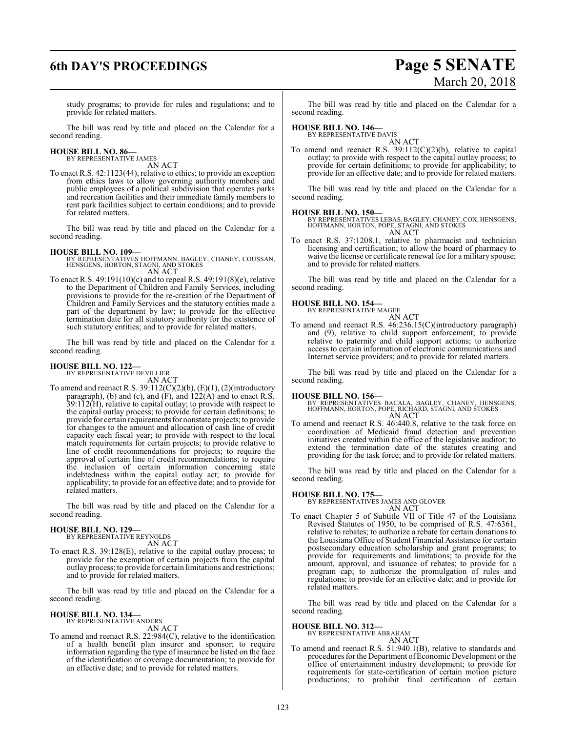## **6th DAY'S PROCEEDINGS Page 5 SENATE**

# March 20, 2018

study programs; to provide for rules and regulations; and to provide for related matters.

The bill was read by title and placed on the Calendar for a second reading.

### **HOUSE BILL NO. 86—** BY REPRESENTATIVE JAMES

AN ACT

To enact R.S. 42:1123(44), relative to ethics; to provide an exception from ethics laws to allow governing authority members and public employees of a political subdivision that operates parks and recreation facilities and their immediate family members to rent park facilities subject to certain conditions; and to provide for related matters.

The bill was read by title and placed on the Calendar for a second reading.

### **HOUSE BILL NO. 109—**

BY REPRESENTATIVES HOFFMANN, BAGLEY, CHANEY, COUSSAN, HENSGENS, HORTON, STAGNI, AND STOKES AN ACT

To enact R.S. 49:191(10)(c) and to repeal R.S. 49:191(8)(e), relative to the Department of Children and Family Services, including provisions to provide for the re-creation of the Department of Children and Family Services and the statutory entities made a part of the department by law; to provide for the effective termination date for all statutory authority for the existence of such statutory entities; and to provide for related matters.

The bill was read by title and placed on the Calendar for a second reading.

### **HOUSE BILL NO. 122—**

BY REPRESENTATIVE DEVILLIER AN ACT

To amend and reenact R.S.  $39:112(C)(2)(b)$ ,  $(E)(1)$ ,  $(2)(introducing$ paragraph), (b) and (c), and (F), and 122(A) and to enact R.S. 39:112(H), relative to capital outlay; to provide with respect to the capital outlay process; to provide for certain definitions; to provide for certain requirements for nonstate projects;to provide for changes to the amount and allocation of cash line of credit capacity each fiscal year; to provide with respect to the local match requirements for certain projects; to provide relative to line of credit recommendations for projects; to require the approval of certain line of credit recommendations; to require the inclusion of certain information concerning state indebtedness within the capital outlay act; to provide for applicability; to provide for an effective date; and to provide for related matters.

The bill was read by title and placed on the Calendar for a second reading.

#### **HOUSE BILL NO. 129—** BY REPRESENTATIVE REYNOLDS

AN ACT

To enact R.S. 39:128(E), relative to the capital outlay process; to provide for the exemption of certain projects from the capital outlay process; to provide for certain limitations and restrictions; and to provide for related matters.

The bill was read by title and placed on the Calendar for a second reading.

### **HOUSE BILL NO. 134—**

BY REPRESENTATIVE ANDERS AN ACT

To amend and reenact R.S. 22:984(C), relative to the identification of a health benefit plan insurer and sponsor; to require information regarding the type of insurance be listed on the face of the identification or coverage documentation; to provide for an effective date; and to provide for related matters.

The bill was read by title and placed on the Calendar for a second reading.

### **HOUSE BILL NO. 146—**

BY REPRESENTATIVE DAVIS AN ACT

To amend and reenact R.S.  $39.112(C)(2)(b)$ , relative to capital outlay; to provide with respect to the capital outlay process; to provide for certain definitions; to provide for applicability; to provide for an effective date; and to provide for related matters.

The bill was read by title and placed on the Calendar for a second reading.

### **HOUSE BILL NO. 150—**

BY REPRESENTATIVES LEBAS, BAGLEY, CHANEY, COX, HENSGENS, HOFFMANN, HORTON, POPE, STAGNI, AND STOKES AN ACT

To enact R.S. 37:1208.1, relative to pharmacist and technician licensing and certification; to allow the board of pharmacy to waive the license or certificate renewal fee for a military spouse; and to provide for related matters.

The bill was read by title and placed on the Calendar for a second reading.

## **HOUSE BILL NO. 154—** BY REPRESENTATIVE MAGEE

AN ACT

To amend and reenact R.S. 46:236.15(C)(introductory paragraph) and (9), relative to child support enforcement; to provide relative to paternity and child support actions; to authorize access to certain information of electronic communications and Internet service providers; and to provide for related matters.

The bill was read by title and placed on the Calendar for a second reading.

**HOUSE BILL NO. 156—** BY REPRESENTATIVES BACALA, BAGLEY, CHANEY, HENSGENS, HOFFMANN, HORTON, POPE, RICHARD, STAGNI, AND STOKES AN ACT

To amend and reenact R.S. 46:440.8, relative to the task force on coordination of Medicaid fraud detection and prevention initiatives created within the office of the legislative auditor; to extend the termination date of the statutes creating and providing for the task force; and to provide for related matters.

The bill was read by title and placed on the Calendar for a second reading.

### **HOUSE BILL NO. 175—**

BY REPRESENTATIVES JAMES AND GLOVER AN ACT

To enact Chapter 5 of Subtitle VII of Title 47 of the Louisiana Revised Statutes of 1950, to be comprised of R.S. 47:6361, relative to rebates; to authorize a rebate for certain donations to the Louisiana Office of Student Financial Assistance for certain postsecondary education scholarship and grant programs; to provide for requirements and limitations; to provide for the amount, approval, and issuance of rebates; to provide for a program cap; to authorize the promulgation of rules and regulations; to provide for an effective date; and to provide for related matters.

The bill was read by title and placed on the Calendar for a second reading.

### **HOUSE BILL NO. 312—**

BY REPRESENTATIVE ABRAHAM

AN ACT To amend and reenact R.S. 51:940.1(B), relative to standards and procedures for the Department of Economic Development or the office of entertainment industry development; to provide for requirements for state-certification of certain motion picture productions; to prohibit final certification of certain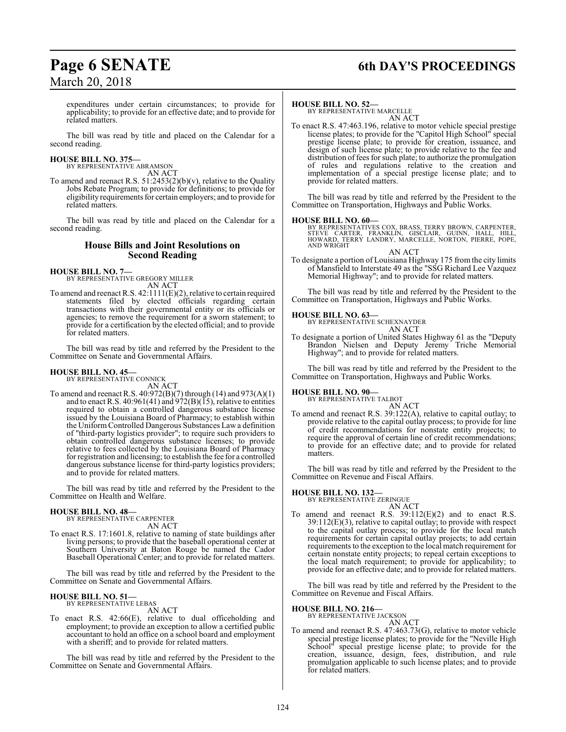## **Page 6 SENATE 6th DAY'S PROCEEDINGS**

expenditures under certain circumstances; to provide for applicability; to provide for an effective date; and to provide for related matters.

The bill was read by title and placed on the Calendar for a second reading.

### **HOUSE BILL NO. 375—**

BY REPRESENTATIVE ABRAMSON AN ACT

To amend and reenact R.S.  $51:2453(2)(b)(v)$ , relative to the Quality Jobs Rebate Program; to provide for definitions; to provide for eligibility requirements for certain employers; and to provide for related matters.

The bill was read by title and placed on the Calendar for a second reading.

### **House Bills and Joint Resolutions on Second Reading**

### **HOUSE BILL NO. 7—** BY REPRESENTATIVE GREGORY MILLER

AN ACT

To amend and reenact R.S. 42:1111(E)(2), relative to certain required statements filed by elected officials regarding certain transactions with their governmental entity or its officials or agencies; to remove the requirement for a sworn statement; to provide for a certification by the elected official; and to provide for related matters.

The bill was read by title and referred by the President to the Committee on Senate and Governmental Affairs.

#### **HOUSE BILL NO. 45—** BY REPRESENTATIVE CONNICK

AN ACT

To amend and reenact R.S. 40:972(B)(7) through (14) and 973(A)(1) and to enact R.S. 40:961(41) and  $\frac{972(B)(15)}{15}$ , relative to entities required to obtain a controlled dangerous substance license issued by the Louisiana Board of Pharmacy; to establish within the Uniform Controlled Dangerous Substances Law a definition of "third-party logistics provider"; to require such providers to obtain controlled dangerous substance licenses; to provide relative to fees collected by the Louisiana Board of Pharmacy for registration and licensing; to establish the fee for a controlled dangerous substance license for third-party logistics providers; and to provide for related matters.

The bill was read by title and referred by the President to the Committee on Health and Welfare.

### **HOUSE BILL NO. 48—**

BY REPRESENTATIVE CARPENTER AN ACT

To enact R.S. 17:1601.8, relative to naming of state buildings after living persons; to provide that the baseball operational center at Southern University at Baton Rouge be named the Cador Baseball Operational Center; and to provide for related matters.

The bill was read by title and referred by the President to the Committee on Senate and Governmental Affairs.

#### **HOUSE BILL NO. 51—** BY REPRESENTATIVE LEBAS

AN ACT

To enact R.S. 42:66(E), relative to dual officeholding and employment; to provide an exception to allow a certified public accountant to hold an office on a school board and employment with a sheriff; and to provide for related matters.

The bill was read by title and referred by the President to the Committee on Senate and Governmental Affairs.

### **HOUSE BILL NO. 52—**

BY REPRESENTATIVE MARCELLE AN ACT

To enact R.S. 47:463.196, relative to motor vehicle special prestige license plates; to provide for the "Capitol High School" special prestige license plate; to provide for creation, issuance, and design of such license plate; to provide relative to the fee and distribution of fees for such plate; to authorize the promulgation of rules and regulations relative to the creation and implementation of a special prestige license plate; and to provide for related matters.

The bill was read by title and referred by the President to the Committee on Transportation, Highways and Public Works.

**HOUSE BILL NO. 60—**<br>BY REPRESENTATIVES COX, BRASS, TERRY BROWN, CARPENTER,<br>STEVE CARTER, FRANKLIN, GISCLAIR, GUINN, HALL, HILL,<br>HOWARD, TERRY LANDRY, MARCELLE, NORTON, PIERRE, POPE,<br>AND WRIGHT

AN ACT To designate a portion of Louisiana Highway 175 fromthe city limits of Mansfield to Interstate 49 as the "SSG Richard Lee Vazquez Memorial Highway"; and to provide for related matters.

The bill was read by title and referred by the President to the Committee on Transportation, Highways and Public Works.

### **HOUSE BILL NO. 63—**

BY REPRESENTATIVE SCHEXNAYDER AN ACT

To designate a portion of United States Highway 61 as the "Deputy Brandon Nielsen and Deputy Jeremy Triche Memorial Highway"; and to provide for related matters.

The bill was read by title and referred by the President to the Committee on Transportation, Highways and Public Works.

#### **HOUSE BILL NO. 90—** BY REPRESENTATIVE TALBOT

AN ACT

To amend and reenact R.S. 39:122(A), relative to capital outlay; to provide relative to the capital outlay process; to provide for line of credit recommendations for nonstate entity projects; to require the approval of certain line of credit recommendations; to provide for an effective date; and to provide for related matters.

The bill was read by title and referred by the President to the Committee on Revenue and Fiscal Affairs.

## **HOUSE BILL NO. 132—** BY REPRESENTATIVE ZERINGUE

AN ACT To amend and reenact R.S. 39:112(E)(2) and to enact R.S. 39:112(E)(3), relative to capital outlay; to provide with respect to the capital outlay process; to provide for the local match requirements for certain capital outlay projects; to add certain requirements to the exception to the local match requirement for certain nonstate entity projects; to repeal certain exceptions to the local match requirement; to provide for applicability; to provide for an effective date; and to provide for related matters.

The bill was read by title and referred by the President to the Committee on Revenue and Fiscal Affairs.

### **HOUSE BILL NO. 216—**

BY REPRESENTATIVE JACKSON AN ACT

To amend and reenact R.S. 47:463.73(G), relative to motor vehicle special prestige license plates; to provide for the "Neville High School" special prestige license plate; to provide for the creation, issuance, design, fees, distribution, and rule promulgation applicable to such license plates; and to provide for related matters.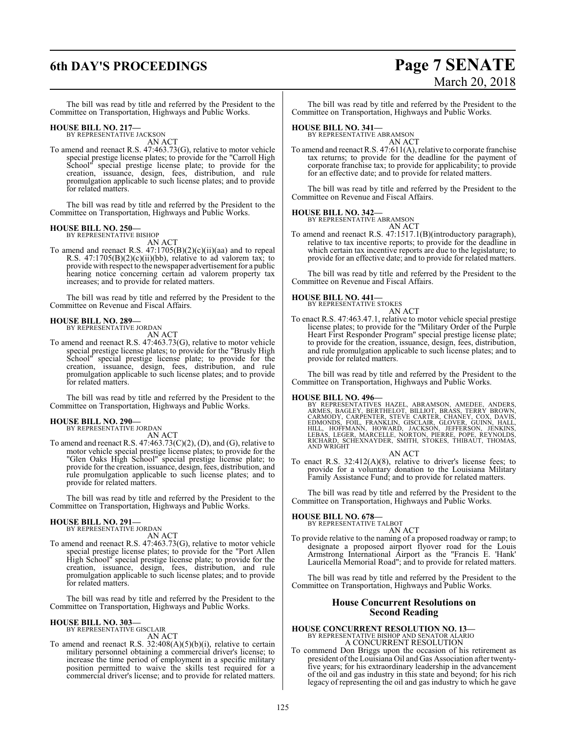## **6th DAY'S PROCEEDINGS Page 7 SENATE**

The bill was read by title and referred by the President to the Committee on Transportation, Highways and Public Works.

### **HOUSE BILL NO. 217—**

BY REPRESENTATIVE JACKSON AN ACT

To amend and reenact R.S. 47:463.73(G), relative to motor vehicle special prestige license plates; to provide for the "Carroll High School" special prestige license plate; to provide for the creation, issuance, design, fees, distribution, and rule promulgation applicable to such license plates; and to provide for related matters.

The bill was read by title and referred by the President to the Committee on Transportation, Highways and Public Works.

### **HOUSE BILL NO. 250—**

BY REPRESENTATIVE BISHOP AN ACT

To amend and reenact R.S. 47:1705(B)(2)(c)(ii)(aa) and to repeal R.S.  $47:1705(B)(2)(c)(ii)(bb)$ , relative to ad valorem tax; to provide with respect to the newspaper advertisement for a public hearing notice concerning certain ad valorem property tax increases; and to provide for related matters.

The bill was read by title and referred by the President to the Committee on Revenue and Fiscal Affairs.

### **HOUSE BILL NO. 289—**

BY REPRESENTATIVE JORDAN

- AN ACT
- To amend and reenact R.S. 47:463.73(G), relative to motor vehicle special prestige license plates; to provide for the "Brusly High School" special prestige license plate; to provide for the creation, issuance, design, fees, distribution, and rule promulgation applicable to such license plates; and to provide for related matters.

The bill was read by title and referred by the President to the Committee on Transportation, Highways and Public Works.

### **HOUSE BILL NO. 290—**

BY REPRESENTATIVE JORDAN AN ACT

To amend and reenact R.S.  $47:463.73(C)(2)$ , (D), and (G), relative to motor vehicle special prestige license plates; to provide for the "Glen Oaks High School" special prestige license plate; to provide for the creation, issuance, design, fees, distribution, and rule promulgation applicable to such license plates; and to provide for related matters.

The bill was read by title and referred by the President to the Committee on Transportation, Highways and Public Works.

#### **HOUSE BILL NO. 291—** BY REPRESENTATIVE JORDAN

AN ACT

To amend and reenact R.S. 47:463.73(G), relative to motor vehicle special prestige license plates; to provide for the "Port Allen High School" special prestige license plate; to provide for the creation, issuance, design, fees, distribution, and rule promulgation applicable to such license plates; and to provide for related matters.

The bill was read by title and referred by the President to the Committee on Transportation, Highways and Public Works.

### **HOUSE BILL NO. 303—**

BY REPRESENTATIVE GISCLAIR AN ACT

To amend and reenact R.S.  $32:408(A)(5)(b)(i)$ , relative to certain military personnel obtaining a commercial driver's license; to increase the time period of employment in a specific military position permitted to waive the skills test required for a commercial driver's license; and to provide for related matters.

# March 20, 2018

The bill was read by title and referred by the President to the Committee on Transportation, Highways and Public Works.

### **HOUSE BILL NO. 341—**

BY REPRESENTATIVE ABRAMSON AN ACT

To amend and reenact R.S. 47:611(A), relative to corporate franchise tax returns; to provide for the deadline for the payment of corporate franchise tax; to provide for applicability; to provide for an effective date; and to provide for related matters.

The bill was read by title and referred by the President to the Committee on Revenue and Fiscal Affairs.

### **HOUSE BILL NO. 342—**

BY REPRESENTATIVE ABRAMSON

- AN ACT
- To amend and reenact R.S. 47:1517.1(B)(introductory paragraph), relative to tax incentive reports; to provide for the deadline in which certain tax incentive reports are due to the legislature; to provide for an effective date; and to provide for related matters.

The bill was read by title and referred by the President to the Committee on Revenue and Fiscal Affairs.

### **HOUSE BILL NO. 441—**



To enact R.S. 47:463.47.1, relative to motor vehicle special prestige license plates; to provide for the "Military Order of the Purple Heart First Responder Program" special prestige license plate; to provide for the creation, issuance, design, fees, distribution, and rule promulgation applicable to such license plates; and to provide for related matters.

The bill was read by title and referred by the President to the Committee on Transportation, Highways and Public Works.

**HOUSE BILL NO. 496—**<br>BY REPRESENTATIVES HAZEL, ABRAMSON, AMEDEE, ANDERS, ARMES, BAGLEY, BERTHELOT, BILLIOT, BRASS, TERRY BROWN,<br>CARMODY, CARPENTER, STEVE CARTER, CHANEY, COX, DAVIS,<br>EDMONDS, FOIL, FRANKLIN, GISCLAIR, GLOV

AN ACT

To enact R.S. 32:412(A)(8), relative to driver's license fees; to provide for a voluntary donation to the Louisiana Military Family Assistance Fund; and to provide for related matters.

The bill was read by title and referred by the President to the Committee on Transportation, Highways and Public Works.

### **HOUSE BILL NO. 678—**

BY REPRESENTATIVE TALBOT AN ACT

To provide relative to the naming of a proposed roadway or ramp; to designate a proposed airport flyover road for the Louis Armstrong International Airport as the "Francis E. 'Hank' Lauricella Memorial Road"; and to provide for related matters.

The bill was read by title and referred by the President to the Committee on Transportation, Highways and Public Works.

### **House Concurrent Resolutions on Second Reading**

## **HOUSE CONCURRENT RESOLUTION NO. 13—**<br>BY REPRESENTATIVE BISHOP AND SENATOR ALARIO<br>A CONCURRENT RESOLUTION

To commend Don Briggs upon the occasion of his retirement as president ofthe Louisiana Oil and Gas Association after twentyfive years; for his extraordinary leadership in the advancement of the oil and gas industry in this state and beyond; for his rich legacy of representing the oil and gas industry to which he gave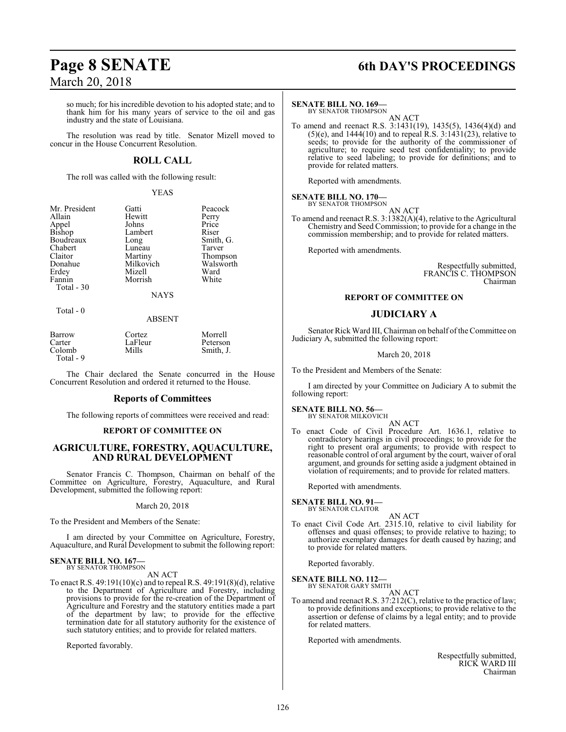### **Page 8 SENATE 6th DAY'S PROCEEDINGS**

so much; for his incredible devotion to his adopted state; and to thank him for his many years of service to the oil and gas industry and the state of Louisiana.

The resolution was read by title. Senator Mizell moved to concur in the House Concurrent Resolution.

### **ROLL CALL**

The roll was called with the following result:

### YEAS

Smith, G. Tarver Thompson Walsworth<br>Ward

| Mr. President | Gatti       | Peacock  |
|---------------|-------------|----------|
| Allain        | Hewitt      | Perry    |
| Appel         | Johns       | Price    |
| <b>Bishop</b> | Lambert     | Riser    |
| Boudreaux     | Long        | Smith, C |
| Chabert       | Luneau      | Tarver   |
| Claitor       | Martiny     | Thomps   |
| Donahue       | Milkovich   | Walswor  |
| Erdey         | Mizell      | Ward     |
| Fannin        | Morrish     | White    |
| Total - 30    |             |          |
|               | <b>NAYS</b> |          |

### Total - 0

### ABSENT

| Barrow    | Cortez  | Morrell   |
|-----------|---------|-----------|
| Carter    | LaFleur | Peterson  |
| Colomb    | Mills   | Smith, J. |
| Total - 9 |         |           |

The Chair declared the Senate concurred in the House Concurrent Resolution and ordered it returned to the House.

### **Reports of Committees**

The following reports of committees were received and read:

### **REPORT OF COMMITTEE ON**

### **AGRICULTURE, FORESTRY, AQUACULTURE, AND RURAL DEVELOPMENT**

Senator Francis C. Thompson, Chairman on behalf of the Committee on Agriculture, Forestry, Aquaculture, and Rural Development, submitted the following report:

### March 20, 2018

To the President and Members of the Senate:

I am directed by your Committee on Agriculture, Forestry, Aquaculture, and Rural Development to submit the following report:

### **SENATE BILL NO. 167—** BY SENATOR THOMPSON

AN ACT

To enact R.S. 49:191(10)(c) and to repeal R.S. 49:191(8)(d), relative to the Department of Agriculture and Forestry, including provisions to provide for the re-creation of the Department of Agriculture and Forestry and the statutory entities made a part of the department by law; to provide for the effective termination date for all statutory authority for the existence of such statutory entities; and to provide for related matters.

Reported favorably.

### **SENATE BILL NO. 169—**

BY SENATOR THOMPSON AN ACT

To amend and reenact R.S. 3:1431(19), 1435(5), 1436(4)(d) and  $(5)(e)$ , and 1444 $(10)$  and to repeal R.S. 3:1431 $(23)$ , relative to seeds; to provide for the authority of the commissioner of agriculture; to require seed test confidentiality; to provide relative to seed labeling; to provide for definitions; and to provide for related matters.

Reported with amendments.

#### **SENATE BILL NO. 170—** BY SENATOR THOMPSON

AN ACT

To amend and reenact R.S. 3:1382(A)(4), relative to the Agricultural Chemistry and Seed Commission; to provide for a change in the commission membership; and to provide for related matters.

Reported with amendments.

Respectfully submitted, FRANCIS C. THOMPSON Chairman

### **REPORT OF COMMITTEE ON**

### **JUDICIARY A**

Senator Rick Ward III, Chairman on behalf of the Committee on Judiciary A, submitted the following report:

March 20, 2018

To the President and Members of the Senate:

I am directed by your Committee on Judiciary A to submit the following report:

### **SENATE BILL NO. 56—**<br>BY SENATOR MILKOVICH

AN ACT To enact Code of Civil Procedure Art. 1636.1, relative to contradictory hearings in civil proceedings; to provide for the right to present oral arguments; to provide with respect to reasonable control of oral argument by the court, waiver of oral argument, and grounds for setting aside a judgment obtained in violation of requirements; and to provide for related matters.

Reported with amendments.

### **SENATE BILL NO. 91—**

BY SENATOR CLAITOR

To enact Civil Code Art. 2315.10, relative to civil liability for offenses and quasi offenses; to provide relative to hazing; to authorize exemplary damages for death caused by hazing; and to provide for related matters.

AN ACT

Reported favorably.

### **SENATE BILL NO. 112—**<br>BY SENATOR GARY SMITH

AN ACT

To amend and reenact R.S. 37:212(C), relative to the practice of law; to provide definitions and exceptions; to provide relative to the assertion or defense of claims by a legal entity; and to provide for related matters.

Reported with amendments.

Respectfully submitted, RICK WARD III Chairman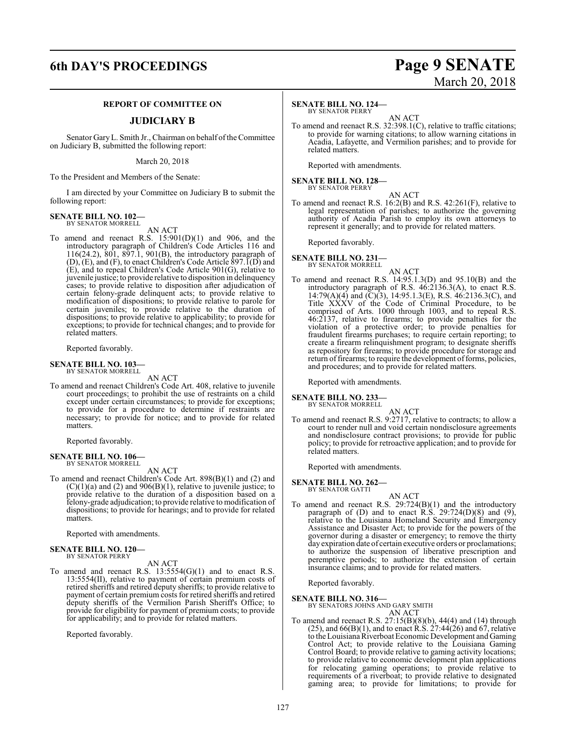### **6th DAY'S PROCEEDINGS Page 9 SENATE**

### **REPORT OF COMMITTEE ON**

### **JUDICIARY B**

Senator GaryL. Smith Jr., Chairman on behalf ofthe Committee on Judiciary B, submitted the following report:

March 20, 2018

To the President and Members of the Senate:

I am directed by your Committee on Judiciary B to submit the following report:

#### **SENATE BILL NO. 102—** BY SENATOR MORRELL

AN ACT

To amend and reenact R.S. 15:901(D)(1) and 906, and the introductory paragraph of Children's Code Articles 116 and 116(24.2), 801, 897.1, 901(B), the introductory paragraph of (D), (E), and (F), to enact Children's Code Article 897.1(D) and (E), and to repeal Children's Code Article 901(G), relative to juvenile justice; to provide relative to disposition in delinquency cases; to provide relative to disposition after adjudication of certain felony-grade delinquent acts; to provide relative to modification of dispositions; to provide relative to parole for certain juveniles; to provide relative to the duration of dispositions; to provide relative to applicability; to provide for exceptions; to provide for technical changes; and to provide for related matters.

Reported favorably.

**SENATE BILL NO. 103—** BY SENATOR MORRELL

AN ACT

To amend and reenact Children's Code Art. 408, relative to juvenile court proceedings; to prohibit the use of restraints on a child except under certain circumstances; to provide for exceptions; to provide for a procedure to determine if restraints are necessary; to provide for notice; and to provide for related matters.

Reported favorably.

**SENATE BILL NO. 106—** BY SENATOR MORRELL

AN ACT

To amend and reenact Children's Code Art. 898(B)(1) and (2) and  $(C)(1)(a)$  and  $(2)$  and  $906(B)(1)$ , relative to juvenile justice; to provide relative to the duration of a disposition based on a felony-grade adjudication; to provide relative to modification of dispositions; to provide for hearings; and to provide for related matters.

Reported with amendments.

### **SENATE BILL NO. 120—** BY SENATOR PERRY

AN ACT

To amend and reenact R.S. 13:5554(G)(1) and to enact R.S.  $13:5554$ (II), relative to payment of certain premium costs of retired sheriffs and retired deputy sheriffs; to provide relative to payment of certain premium costs for retired sheriffs and retired deputy sheriffs of the Vermilion Parish Sheriff's Office; to provide for eligibility for payment of premium costs; to provide for applicability; and to provide for related matters.

Reported favorably.

# March 20, 2018

### **SENATE BILL NO. 124—**

BY SENATOR PERRY AN ACT

To amend and reenact R.S. 32:398.1(C), relative to traffic citations; to provide for warning citations; to allow warning citations in Acadia, Lafayette, and Vermilion parishes; and to provide for related matters.

Reported with amendments.

#### **SENATE BILL NO. 128—** BY SENATOR PERRY

AN ACT

To amend and reenact R.S. 16:2(B) and R.S. 42:261(F), relative to legal representation of parishes; to authorize the governing authority of Acadia Parish to employ its own attorneys to represent it generally; and to provide for related matters.

Reported favorably.

#### **SENATE BILL NO. 231—** BY SENATOR MORRELL

AN ACT

To amend and reenact R.S. 14:95.1.3(D) and 95.10(B) and the introductory paragraph of R.S. 46:2136.3(A), to enact R.S. 14:79(A)(4) and (C)(3), 14:95.1.3(E), R.S. 46:2136.3(C), and Title XXXV of the Code of Criminal Procedure, to be comprised of Arts. 1000 through 1003, and to repeal R.S. 46:2137, relative to firearms; to provide penalties for the violation of a protective order; to provide penalties for fraudulent firearms purchases; to require certain reporting; to create a firearm relinquishment program; to designate sheriffs as repository for firearms; to provide procedure for storage and return of firearms; to require the development of forms, policies, and procedures; and to provide for related matters.

Reported with amendments.

**SENATE BILL NO. 233—**

BY SENATOR MORRELL

AN ACT To amend and reenact R.S. 9:2717, relative to contracts; to allow a court to render null and void certain nondisclosure agreements and nondisclosure contract provisions; to provide for public policy; to provide for retroactive application; and to provide for related matters.

Reported with amendments.

#### **SENATE BILL NO. 262—** BY SENATOR GATTI

- 
- AN ACT To amend and reenact R.S. 29:724(B)(1) and the introductory paragraph of  $(D)$  and to enact R.S. 29:724 $(D)(8)$  and  $(9)$ , relative to the Louisiana Homeland Security and Emergency Assistance and Disaster Act; to provide for the powers of the governor during a disaster or emergency; to remove the thirty day expiration date of certain executive orders or proclamations; to authorize the suspension of liberative prescription and peremptive periods; to authorize the extension of certain insurance claims; and to provide for related matters.

Reported favorably.

**SENATE BILL NO. 316—** BY SENATORS JOHNS AND GARY SMITH

AN ACT

To amend and reenact R.S. 27:15(B)(8)(b), 44(4) and (14) through  $(25)$ , and  $66(B)(1)$ , and to enact R.S.  $27:44(26)$  and 67, relative to the Louisiana Riverboat Economic Development and Gaming Control Act; to provide relative to the Louisiana Gaming Control Board; to provide relative to gaming activity locations; to provide relative to economic development plan applications for relocating gaming operations; to provide relative to requirements of a riverboat; to provide relative to designated gaming area; to provide for limitations; to provide for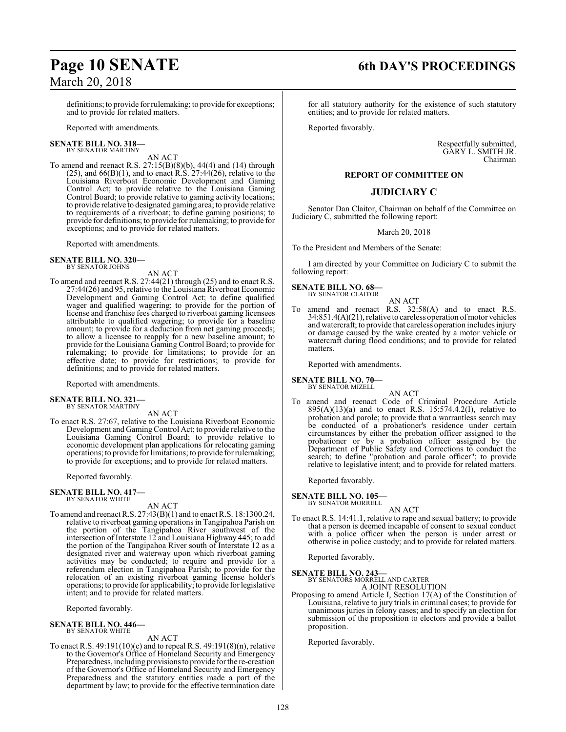## **Page 10 SENATE 6th DAY'S PROCEEDINGS**

definitions; to provide forrulemaking; to provide for exceptions; and to provide for related matters.

Reported with amendments.

### **SENATE BILL NO. 318—** BY SENATOR MARTINY

### AN ACT

To amend and reenact R.S. 27:15(B)(8)(b), 44(4) and (14) through  $(25)$ , and  $66(B)(1)$ , and to enact R.S.  $27:44(26)$ , relative to the Louisiana Riverboat Economic Development and Gaming Control Act; to provide relative to the Louisiana Gaming Control Board; to provide relative to gaming activity locations; to provide relative to designated gaming area; to provide relative to requirements of a riverboat; to define gaming positions; to provide for definitions; to provide for rulemaking; to provide for exceptions; and to provide for related matters.

Reported with amendments.

#### **SENATE BILL NO. 320—** BY SENATOR JOHNS

AN ACT

To amend and reenact R.S. 27:44(21) through (25) and to enact R.S. 27:44(26) and 95, relative to the Louisiana Riverboat Economic Development and Gaming Control Act; to define qualified wager and qualified wagering; to provide for the portion of license and franchise fees charged to riverboat gaming licensees attributable to qualified wagering; to provide for a baseline amount; to provide for a deduction from net gaming proceeds; to allow a licensee to reapply for a new baseline amount; to provide for the Louisiana Gaming Control Board; to provide for rulemaking; to provide for limitations; to provide for an effective date; to provide for restrictions; to provide for definitions; and to provide for related matters.

Reported with amendments.

#### **SENATE BILL NO. 321—** BY SENATOR MARTINY

AN ACT

To enact R.S. 27:67, relative to the Louisiana Riverboat Economic Development and Gaming Control Act; to provide relative to the Louisiana Gaming Control Board; to provide relative to economic development plan applications for relocating gaming operations; to provide for limitations; to provide for rulemaking; to provide for exceptions; and to provide for related matters.

Reported favorably.

#### **SENATE BILL NO. 417—** BY SENATOR WHITE

AN ACT

To amend and reenact R.S. 27:43(B)(1) and to enact R.S. 18:1300.24, relative to riverboat gaming operations in Tangipahoa Parish on the portion of the Tangipahoa River southwest of the intersection of Interstate 12 and Louisiana Highway 445; to add the portion of the Tangipahoa River south of Interstate 12 as a designated river and waterway upon which riverboat gaming activities may be conducted; to require and provide for a referendum election in Tangipahoa Parish; to provide for the relocation of an existing riverboat gaming license holder's operations; to provide for applicability; to provide for legislative intent; and to provide for related matters.

Reported favorably.

### **SENATE BILL NO. 446—** BY SENATOR WHITE

AN ACT

To enact R.S. 49:191(10)(c) and to repeal R.S. 49:191(8)(n), relative to the Governor's Office of Homeland Security and Emergency Preparedness, including provisions to provide for the re-creation of the Governor's Office of Homeland Security and Emergency Preparedness and the statutory entities made a part of the department by law; to provide for the effective termination date for all statutory authority for the existence of such statutory entities; and to provide for related matters.

Reported favorably.

Respectfully submitted, GARY L. SMITH JR. Chairman

### **REPORT OF COMMITTEE ON**

### **JUDICIARY C**

Senator Dan Claitor, Chairman on behalf of the Committee on Judiciary C, submitted the following report:

March 20, 2018

To the President and Members of the Senate:

I am directed by your Committee on Judiciary C to submit the following report:

### **SENATE BILL NO. 68—** BY SENATOR CLAITOR

AN ACT amend and reenact R.S.  $32:58(A)$  and to enact R.S. 34:851.4(A)(21), relative to careless operation ofmotor vehicles and watercraft; to provide that careless operation includes injury or damage caused by the wake created by a motor vehicle or watercraft during flood conditions; and to provide for related matters.

Reported with amendments.

**SENATE BILL NO. 70—** BY SENATOR MIZELL

AN ACT

To amend and reenact Code of Criminal Procedure Article 895(A)(13)(a) and to enact R.S. 15:574.4.2(I), relative to probation and parole; to provide that a warrantless search may be conducted of a probationer's residence under certain circumstances by either the probation officer assigned to the probationer or by a probation officer assigned by the Department of Public Safety and Corrections to conduct the search; to define "probation and parole officer"; to provide relative to legislative intent; and to provide for related matters.

Reported favorably.

**SENATE BILL NO. 105—** BY SENATOR MORRELL

AN ACT

To enact R.S. 14:41.1, relative to rape and sexual battery; to provide that a person is deemed incapable of consent to sexual conduct with a police officer when the person is under arrest or otherwise in police custody; and to provide for related matters.

Reported favorably.

## **SENATE BILL NO. 243—** BY SENATORS MORRELL AND CARTER

A JOINT RESOLUTION

Proposing to amend Article I, Section 17(A) of the Constitution of Louisiana, relative to jury trials in criminal cases; to provide for unanimous juries in felony cases; and to specify an election for submission of the proposition to electors and provide a ballot proposition.

Reported favorably.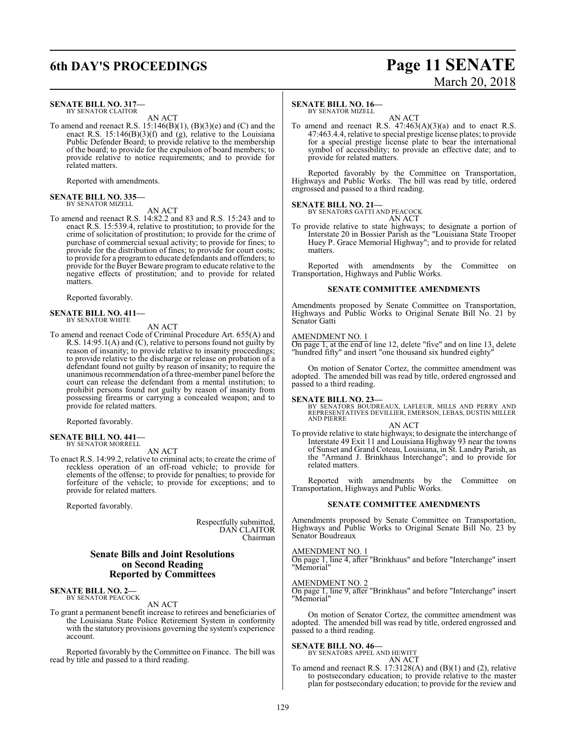### **SENATE BILL NO. 317—** BY SENATOR CLAITOR

AN ACT

To amend and reenact R.S.  $15:146(B)(1)$ ,  $(B)(3)(e)$  and  $(C)$  and the enact R.S. 15:146(B)(3)(f) and (g), relative to the Louisiana Public Defender Board; to provide relative to the membership of the board; to provide for the expulsion of board members; to provide relative to notice requirements; and to provide for related matters.

Reported with amendments.

#### **SENATE BILL NO. 335—** BY SENATOR MIZELL

### AN ACT

To amend and reenact R.S. 14:82.2 and 83 and R.S. 15:243 and to enact R.S. 15:539.4, relative to prostitution; to provide for the crime of solicitation of prostitution; to provide for the crime of purchase of commercial sexual activity; to provide for fines; to provide for the distribution of fines; to provide for court costs; to provide for a programto educate defendants and offenders; to provide for the Buyer Beware program to educate relative to the negative effects of prostitution; and to provide for related matters.

Reported favorably.

### **SENATE BILL NO. 411—** BY SENATOR WHITE

AN ACT

To amend and reenact Code of Criminal Procedure Art. 655(A) and R.S. 14:95.1(A) and (C), relative to persons found not guilty by reason of insanity; to provide relative to insanity proceedings; to provide relative to the discharge or release on probation of a defendant found not guilty by reason of insanity; to require the unanimous recommendation of a three-member panel before the court can release the defendant from a mental institution; to prohibit persons found not guilty by reason of insanity from possessing firearms or carrying a concealed weapon; and to provide for related matters.

Reported favorably.

#### **SENATE BILL NO. 441—** BY SENATOR MORRELL

AN ACT

To enact R.S. 14:99.2, relative to criminal acts; to create the crime of reckless operation of an off-road vehicle; to provide for elements of the offense; to provide for penalties; to provide for forfeiture of the vehicle; to provide for exceptions; and to provide for related matters.

Reported favorably.

Respectfully submitted, DAN CLAITOR Chairman

### **Senate Bills and Joint Resolutions on Second Reading Reported by Committees**

#### **SENATE BILL NO. 2—** BY SENATOR PEACOCK

AN ACT

To grant a permanent benefit increase to retirees and beneficiaries of the Louisiana State Police Retirement System in conformity with the statutory provisions governing the system's experience account.

Reported favorably by the Committee on Finance. The bill was read by title and passed to a third reading.

### **6th DAY'S PROCEEDINGS Page 11 SENATE** March 20, 2018

### **SENATE BILL NO. 16—**

BY SENATOR MIZELL

AN ACT To amend and reenact R.S.  $47:463(A)(3)(a)$  and to enact R.S. 47:463.4.4, relative to special prestige license plates; to provide for a special prestige license plate to bear the international symbol of accessibility; to provide an effective date; and to provide for related matters.

Reported favorably by the Committee on Transportation, Highways and Public Works. The bill was read by title, ordered engrossed and passed to a third reading.

### **SENATE BILL NO. 21—**



To provide relative to state highways; to designate a portion of Interstate 20 in Bossier Parish as the "Louisiana State Trooper Huey P. Grace Memorial Highway"; and to provide for related matters.

Reported with amendments by the Committee on Transportation, Highways and Public Works.

### **SENATE COMMITTEE AMENDMENTS**

Amendments proposed by Senate Committee on Transportation, Highways and Public Works to Original Senate Bill No. 21 by Senator Gatti

### AMENDMENT NO. 1

On page 1, at the end of line 12, delete "five" and on line 13, delete "hundred fifty" and insert "one thousand six hundred eighty"

On motion of Senator Cortez, the committee amendment was adopted. The amended bill was read by title, ordered engrossed and passed to a third reading.

### **SENATE BILL NO. 23—**

BY SENATORS BOUDREAUX, LAFLEUR, MILLS AND PERRY AND REPRESENTATIVES DEVILLIER, EMERSON, LEBAS, DUSTIN MILLER AND PIERRE

### AN ACT

To provide relative to state highways; to designate the interchange of Interstate 49 Exit 11 and Louisiana Highway 93 near the towns of Sunset and Grand Coteau, Louisiana, in St. Landry Parish, as the "Armand J. Brinkhaus Interchange"; and to provide for related matters.

Reported with amendments by the Committee on Transportation, Highways and Public Works.

### **SENATE COMMITTEE AMENDMENTS**

Amendments proposed by Senate Committee on Transportation, Highways and Public Works to Original Senate Bill No. 23 by Senator Boudreaux

### AMENDMENT NO. 1

On page 1, line 4, after "Brinkhaus" and before "Interchange" insert "Memorial"

### AMENDMENT NO. 2

On page 1, line 9, after "Brinkhaus" and before "Interchange" insert "Memorial"

On motion of Senator Cortez, the committee amendment was adopted. The amended bill was read by title, ordered engrossed and passed to a third reading.

### **SENATE BILL NO. 46—**

### BY SENATORS APPEL AND HEWITT AN ACT

To amend and reenact R.S. 17:3128(A) and (B)(1) and (2), relative to postsecondary education; to provide relative to the master plan for postsecondary education; to provide for the review and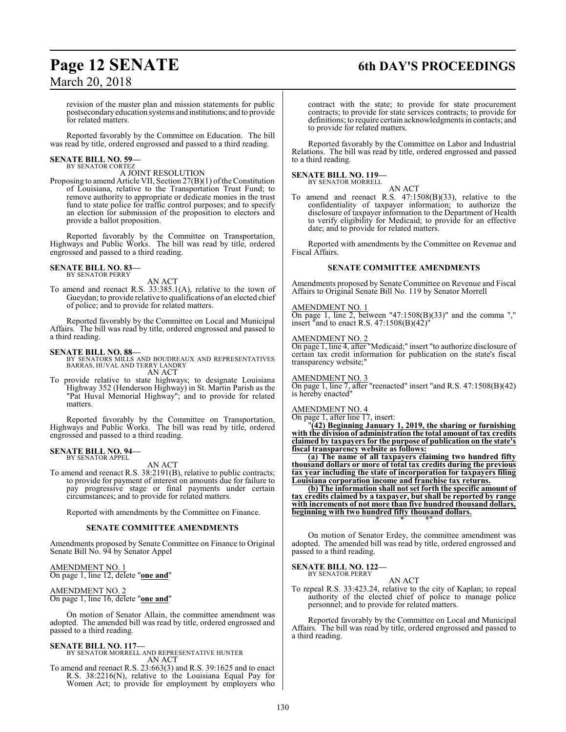## **Page 12 SENATE 6th DAY'S PROCEEDINGS**

revision of the master plan and mission statements for public postsecondaryeducation systems and institutions; and to provide for related matters.

Reported favorably by the Committee on Education. The bill was read by title, ordered engrossed and passed to a third reading.

### **SENATE BILL NO. 59—** BY SENATOR CORTEZ

A JOINT RESOLUTION

Proposing to amend Article VII, Section 27(B)(1) of the Constitution of Louisiana, relative to the Transportation Trust Fund; to remove authority to appropriate or dedicate monies in the trust fund to state police for traffic control purposes; and to specify an election for submission of the proposition to electors and provide a ballot proposition.

Reported favorably by the Committee on Transportation, Highways and Public Works. The bill was read by title, ordered engrossed and passed to a third reading.

### **SENATE BILL NO. 83—**

BY SENATOR PERRY

AN ACT

To amend and reenact R.S. 33:385.1(A), relative to the town of Gueydan; to provide relative to qualifications of an elected chief of police; and to provide for related matters.

Reported favorably by the Committee on Local and Municipal Affairs. The bill was read by title, ordered engrossed and passed to a third reading.

### **SENATE BILL NO. 88—**

- BY SENATORS MILLS AND BOUDREAUX AND REPRESENTATIVES BARRAS, HUVAL AND TERRY LANDRY AN ACT
- To provide relative to state highways; to designate Louisiana Highway 352 (Henderson Highway) in St. Martin Parish as the "Pat Huval Memorial Highway"; and to provide for related matters.

Reported favorably by the Committee on Transportation, Highways and Public Works. The bill was read by title, ordered engrossed and passed to a third reading.

### **SENATE BILL NO. 94—** BY SENATOR APPEL

AN ACT

To amend and reenact R.S. 38:2191(B), relative to public contracts; to provide for payment of interest on amounts due for failure to pay progressive stage or final payments under certain circumstances; and to provide for related matters.

Reported with amendments by the Committee on Finance.

### **SENATE COMMITTEE AMENDMENTS**

Amendments proposed by Senate Committee on Finance to Original Senate Bill No. 94 by Senator Appel

### AMENDMENT NO. 1

On page 1, line 12, delete "**one and**"

### AMENDMENT NO. 2 On page 1, line 16, delete "**one and**"

On motion of Senator Allain, the committee amendment was adopted. The amended bill was read by title, ordered engrossed and passed to a third reading.

### **SENATE BILL NO. 117—**

BY SENATOR MORRELL AND REPRESENTATIVE HUNTER AN ACT

To amend and reenact R.S. 23:663(3) and R.S. 39:1625 and to enact R.S. 38:2216(N), relative to the Louisiana Equal Pay for Women Act; to provide for employment by employers who

contract with the state; to provide for state procurement contracts; to provide for state services contracts; to provide for definitions; to require certain acknowledgments in contacts; and to provide for related matters.

Reported favorably by the Committee on Labor and Industrial Relations. The bill was read by title, ordered engrossed and passed to a third reading.

#### **SENATE BILL NO. 119—** BY SENATOR MORRELL

AN ACT

To amend and reenact R.S. 47:1508(B)(33), relative to the confidentiality of taxpayer information; to authorize the disclosure of taxpayer information to the Department of Health to verify eligibility for Medicaid; to provide for an effective date; and to provide for related matters.

Reported with amendments by the Committee on Revenue and Fiscal Affairs.

### **SENATE COMMITTEE AMENDMENTS**

Amendments proposed by Senate Committee on Revenue and Fiscal Affairs to Original Senate Bill No. 119 by Senator Morrell

### AMENDMENT NO. 1

On page 1, line 2, between "47:1508 $(B)(33)$ " and the comma "," insert "and to enact R.S.  $47:1508(B)(42)$ "

### AMENDMENT NO. 2

On page 1, line 4, after "Medicaid;" insert "to authorize disclosure of certain tax credit information for publication on the state's fiscal transparency website;"

AMENDMENT NO. 3

On page 1, line 7, after "reenacted" insert "and R.S. 47:1508(B)(42) is hereby enacted"

### AMENDMENT NO. 4

On page 1, after line 17, insert:

"**(42) Beginning January 1, 2019, the sharing or furnishing with the division of administration the total amount of tax credits claimed by taxpayers for the purpose of publication on the state's fiscal transparency website as follows:**

**(a) The name of all taxpayers claiming two hundred fifty thousand dollars or more of total tax credits during the previous tax year including the state of incorporation for taxpayers filing Louisiana corporation income and franchise tax returns.**

**(b) The information shall not set forth the specific amount of tax credits claimed by a taxpayer, but shall be reported by range with increments of not more than five hundred thousand dollars, beginning with two hundred fifty thousand dollars.** \* \* \*"

On motion of Senator Erdey, the committee amendment was adopted. The amended bill was read by title, ordered engrossed and passed to a third reading.

### **SENATE BILL NO. 122—** BY SENATOR PERRY

AN ACT

To repeal R.S. 33:423.24, relative to the city of Kaplan; to repeal authority of the elected chief of police to manage police personnel; and to provide for related matters.

Reported favorably by the Committee on Local and Municipal Affairs. The bill was read by title, ordered engrossed and passed to a third reading.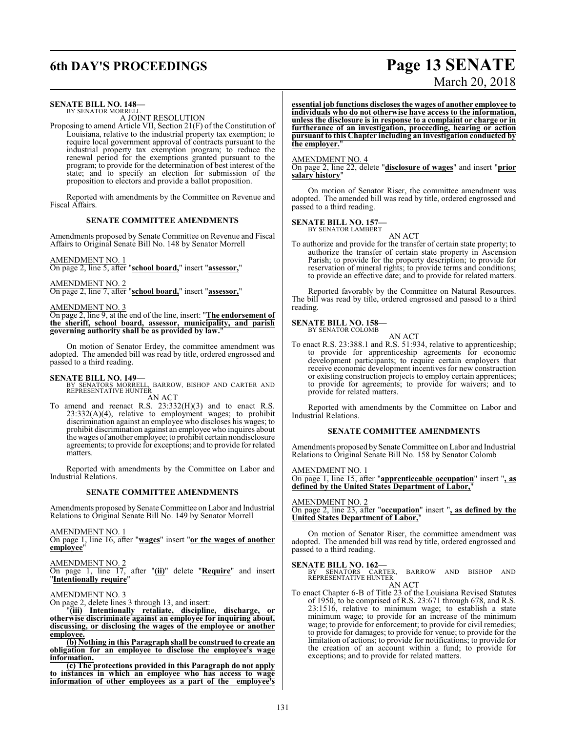## **6th DAY'S PROCEEDINGS Page 13 SENATE**

### **SENATE BILL NO. 148—**

BY SENATOR MORRELL A JOINT RESOLUTION

Proposing to amend Article VII, Section 21(F) of the Constitution of Louisiana, relative to the industrial property tax exemption; to require local government approval of contracts pursuant to the industrial property tax exemption program; to reduce the renewal period for the exemptions granted pursuant to the program; to provide for the determination of best interest of the state; and to specify an election for submission of the proposition to electors and provide a ballot proposition.

Reported with amendments by the Committee on Revenue and Fiscal Affairs.

### **SENATE COMMITTEE AMENDMENTS**

Amendments proposed by Senate Committee on Revenue and Fiscal Affairs to Original Senate Bill No. 148 by Senator Morrell

### AMENDMENT NO. 1

On page 2, line 5, after "**school board,**" insert "**assessor,**"

AMENDMENT NO. 2

On page 2, line 7, after "**school board,**" insert "**assessor,**"

AMENDMENT NO. 3

On page 2, line 9, at the end of the line, insert: "**The endorsement of the sheriff, school board, assessor, municipality, and parish governing authority shall be as provided by law.**"

On motion of Senator Erdey, the committee amendment was adopted. The amended bill was read by title, ordered engrossed and passed to a third reading.

### **SENATE BILL NO. 149—**

BY SENATORS MORRELL, BARROW, BISHOP AND CARTER AND REPRESENTATIVE HUNTER AN ACT

To amend and reenact R.S. 23:332(H)(3) and to enact R.S.  $23:332(A)(4)$ , relative to employment wages; to prohibit discrimination against an employee who discloses his wages; to prohibit discrimination against an employee who inquires about the wages of another employee; to prohibit certain nondisclosure agreements; to provide for exceptions; and to provide for related matters.

Reported with amendments by the Committee on Labor and Industrial Relations.

### **SENATE COMMITTEE AMENDMENTS**

Amendments proposed by Senate Committee on Labor and Industrial Relations to Original Senate Bill No. 149 by Senator Morrell

AMENDMENT NO. 1

On page 1, line 16, after "**wages**" insert "**or the wages of another employee**"

AMENDMENT NO. 2 On page 1, line 17, after "**(ii)**" delete "**Require**" and insert "**Intentionally require**"

AMENDMENT NO. 3

On page 2, delete lines 3 through 13, and insert:

"**(iii) Intentionally retaliate, discipline, discharge, or otherwise discriminate against an employee for inquiring about, discussing, or disclosing the wages of the employee or another employee.**

**(b) Nothing in this Paragraph shall be construed to create an obligation for an employee to disclose the employee's wage information.**

**(c) The protections provided in this Paragraph do not apply to instances in which an employee who has access to wage information of other employees as a part of the employee's**

### **essential job functions discloses the wages of another employee to individuals who do not otherwise have access to the information, unless the disclosure is in response to a complaint or charge or in furtherance of an investigation, proceeding, hearing or action pursuant to this Chapter including an investigation conducted by the employer.**"

### AMENDMENT NO. 4

On page 2, line 22, delete "**disclosure of wages**" and insert "**prior salary history**"

On motion of Senator Riser, the committee amendment was adopted. The amended bill was read by title, ordered engrossed and passed to a third reading.

### **SENATE BILL NO. 157—** BY SENATOR LAMBERT

AN ACT To authorize and provide for the transfer of certain state property; to authorize the transfer of certain state property in Ascension Parish; to provide for the property description; to provide for reservation of mineral rights; to provide terms and conditions; to provide an effective date; and to provide for related matters.

Reported favorably by the Committee on Natural Resources. The bill was read by title, ordered engrossed and passed to a third reading.

### **SENATE BILL NO. 158—** BY SENATOR COLOMB

AN ACT

To enact R.S. 23:388.1 and R.S. 51:934, relative to apprenticeship; to provide for apprenticeship agreements for economic development participants; to require certain employers that receive economic development incentives for new construction or existing construction projects to employ certain apprentices; to provide for agreements; to provide for waivers; and to provide for related matters.

Reported with amendments by the Committee on Labor and Industrial Relations.

### **SENATE COMMITTEE AMENDMENTS**

Amendments proposed by Senate Committee on Labor and Industrial Relations to Original Senate Bill No. 158 by Senator Colomb

### AMENDMENT NO. 1

On page 1, line 15, after "**apprenticeable occupation**" insert "**, as defined by the United States Department of Labor,**"

AMENDMENT NO. 2 On page 2, line 23, after "**occupation**" insert "**, as defined by the**

**United States Department of Labor,** 

On motion of Senator Riser, the committee amendment was adopted. The amended bill was read by title, ordered engrossed and passed to a third reading.

**SENATE BILL NO. 162—**<br>BY SENATORS CARTER, BARROW AND BISHOP AND<br>REPRESENTATIVE HUNTER AN ACT

To enact Chapter 6-B of Title 23 of the Louisiana Revised Statutes of 1950, to be comprised of R.S. 23:671 through 678, and R.S. 23:1516, relative to minimum wage; to establish a state minimum wage; to provide for an increase of the minimum wage; to provide for enforcement; to provide for civil remedies; to provide for damages; to provide for venue; to provide for the limitation of actions; to provide for notifications; to provide for the creation of an account within a fund; to provide for exceptions; and to provide for related matters.

# March 20, 2018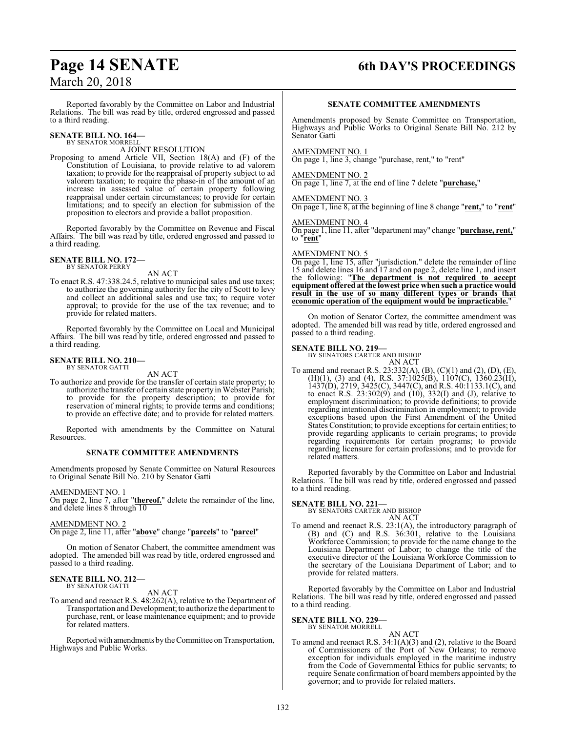### **Page 14 SENATE 6th DAY'S PROCEEDINGS**

Reported favorably by the Committee on Labor and Industrial Relations. The bill was read by title, ordered engrossed and passed to a third reading.

#### **SENATE BILL NO. 164—** BY SENATOR MORRELL

### A JOINT RESOLUTION

Proposing to amend Article VII, Section 18(A) and (F) of the Constitution of Louisiana, to provide relative to ad valorem taxation; to provide for the reappraisal of property subject to ad valorem taxation; to require the phase-in of the amount of an increase in assessed value of certain property following reappraisal under certain circumstances; to provide for certain limitations; and to specify an election for submission of the proposition to electors and provide a ballot proposition.

Reported favorably by the Committee on Revenue and Fiscal Affairs. The bill was read by title, ordered engrossed and passed to a third reading.

#### **SENATE BILL NO. 172—** BY SENATOR PERRY

AN ACT

To enact R.S. 47:338.24.5, relative to municipal sales and use taxes; to authorize the governing authority for the city of Scott to levy and collect an additional sales and use tax; to require voter approval; to provide for the use of the tax revenue; and to provide for related matters.

Reported favorably by the Committee on Local and Municipal Affairs. The bill was read by title, ordered engrossed and passed to a third reading.

#### **SENATE BILL NO. 210—** BY SENATOR GATTI

AN ACT

To authorize and provide for the transfer of certain state property; to authorize the transfer of certain state property in Webster Parish; to provide for the property description; to provide for reservation of mineral rights; to provide terms and conditions; to provide an effective date; and to provide for related matters.

Reported with amendments by the Committee on Natural Resources.

### **SENATE COMMITTEE AMENDMENTS**

Amendments proposed by Senate Committee on Natural Resources to Original Senate Bill No. 210 by Senator Gatti

### AMENDMENT NO. 1

On page 2, line 7, after "**thereof.**" delete the remainder of the line, and delete lines 8 through 10

### AMENDMENT NO. 2

On page 2, line 11, after "**above**" change "**parcels**" to "**parcel**"

On motion of Senator Chabert, the committee amendment was adopted. The amended bill was read by title, ordered engrossed and passed to a third reading.

## **SENATE BILL NO. 212—** BY SENATOR GATTI

AN ACT

To amend and reenact R.S. 48:262(A), relative to the Department of Transportation and Development; to authorize the department to purchase, rent, or lease maintenance equipment; and to provide for related matters.

Reported with amendments by the Committee on Transportation, Highways and Public Works.

### **SENATE COMMITTEE AMENDMENTS**

Amendments proposed by Senate Committee on Transportation, Highways and Public Works to Original Senate Bill No. 212 by Senator Gatti

### AMENDMENT NO. 1

On page 1, line 3, change "purchase, rent," to "rent"

### AMENDMENT NO. 2

On page 1, line 7, at the end of line 7 delete "**purchase,**"

AMENDMENT NO. 3

On page 1, line 8, at the beginning of line 8 change "**rent,**" to "**rent**"

### AMENDMENT NO. 4

On page 1, line 11, after "department may" change "**purchase, rent,**" to "**rent**"

### AMENDMENT NO. 5

On page 1, line 15, after "jurisdiction." delete the remainder of line 15 and delete lines 16 and 17 and on page 2, delete line 1, and insert the following: "**The department is not required to accept equipment offered at the lowest price when such a practice would result in the use of so many different types or brands that economic operation of the equipment would be impracticable.**"

On motion of Senator Cortez, the committee amendment was adopted. The amended bill was read by title, ordered engrossed and passed to a third reading.

### **SENATE BILL NO. 219—**

BY SENATORS CARTER AND BISHOP AN ACT

To amend and reenact R.S. 23:332(A), (B), (C)(1) and (2), (D), (E), (H)(1), (3) and (4), R.S. 37:1025(B), 1107(C), 1360.23(H), 1437(D), 2719, 3425(C), 3447(C), and R.S. 40:1133.1(C), and to enact R.S.  $23:302(9)$  and  $(10)$ ,  $332(1)$  and  $(J)$ , relative to employment discrimination; to provide definitions; to provide regarding intentional discrimination in employment; to provide exceptions based upon the First Amendment of the United States Constitution; to provide exceptions for certain entities; to provide regarding applicants to certain programs; to provide regarding requirements for certain programs; to provide regarding licensure for certain professions; and to provide for related matters.

Reported favorably by the Committee on Labor and Industrial Relations. The bill was read by title, ordered engrossed and passed to a third reading.

### **SENATE BILL NO. 221—** BY SENATORS CARTER AND BISHOP

AN ACT

To amend and reenact R.S. 23:1(A), the introductory paragraph of (B) and (C) and R.S. 36:301, relative to the Louisiana Workforce Commission; to provide for the name change to the Louisiana Department of Labor; to change the title of the executive director of the Louisiana Workforce Commission to the secretary of the Louisiana Department of Labor; and to provide for related matters.

Reported favorably by the Committee on Labor and Industrial Relations. The bill was read by title, ordered engrossed and passed to a third reading.

### **SENATE BILL NO. 229—** BY SENATOR MORRELL

AN ACT To amend and reenact R.S. 34:1(A)(3) and (2), relative to the Board of Commissioners of the Port of New Orleans; to remove exception for individuals employed in the maritime industry from the Code of Governmental Ethics for public servants; to require Senate confirmation of board members appointed by the governor; and to provide for related matters.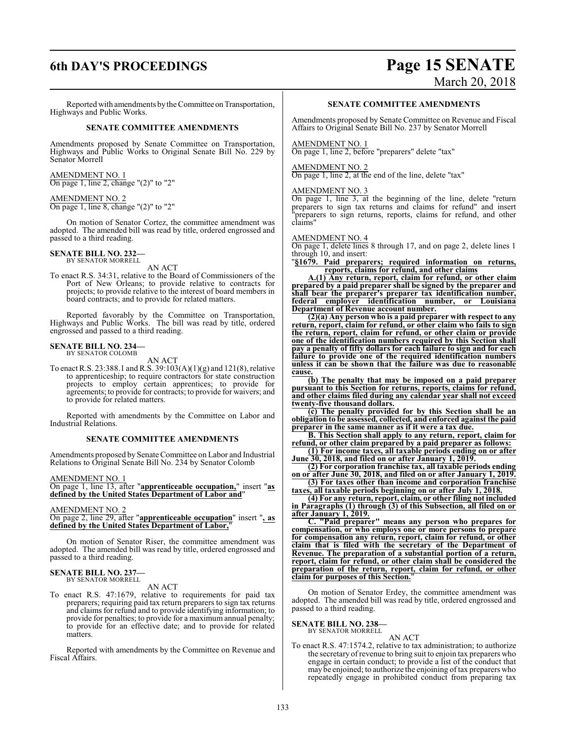### **6th DAY'S PROCEEDINGS Page 15 SENATE** March 20, 2018

Reported with amendments by the Committee on Transportation, Highways and Public Works.

### **SENATE COMMITTEE AMENDMENTS**

Amendments proposed by Senate Committee on Transportation, Highways and Public Works to Original Senate Bill No. 229 by Senator Morrell

### AMENDMENT NO. 1 On page 1, line 2, change "(2)" to "2"

### AMENDMENT NO. 2

On page 1, line 8, change "(2)" to "2"

On motion of Senator Cortez, the committee amendment was adopted. The amended bill was read by title, ordered engrossed and passed to a third reading.

#### **SENATE BILL NO. 232—** BY SENATOR MORRELL

AN ACT

To enact R.S. 34:31, relative to the Board of Commissioners of the Port of New Orleans; to provide relative to contracts for projects; to provide relative to the interest of board members in board contracts; and to provide for related matters.

Reported favorably by the Committee on Transportation, Highways and Public Works. The bill was read by title, ordered engrossed and passed to a third reading.

#### **SENATE BILL NO. 234—** BY SENATOR COLOMB

AN ACT

To enact R.S. 23:388.1 and R.S. 39:103(A)(1)(g) and 121(8), relative to apprenticeship; to require contractors for state construction projects to employ certain apprentices; to provide for agreements; to provide for contracts; to provide for waivers; and to provide for related matters.

Reported with amendments by the Committee on Labor and Industrial Relations.

### **SENATE COMMITTEE AMENDMENTS**

Amendments proposed by Senate Committee on Labor and Industrial Relations to Original Senate Bill No. 234 by Senator Colomb

AMENDMENT NO. 1

On page 1, line 13, after "**apprenticeable occupation,**" insert "**as defined by the United States Department of Labor and**"

### AMENDMENT NO. 2

On page 2, line 29, after "**apprenticeable occupation**" insert "**, as defined by the United States Department of Labor,**"

On motion of Senator Riser, the committee amendment was adopted. The amended bill was read by title, ordered engrossed and passed to a third reading.

### **SENATE BILL NO. 237—** BY SENATOR MORRELL

AN ACT

To enact R.S. 47:1679, relative to requirements for paid tax preparers; requiring paid tax return preparers to sign tax returns and claims for refund and to provide identifying information; to provide for penalties; to provide for a maximum annual penalty; to provide for an effective date; and to provide for related matters.

Reported with amendments by the Committee on Revenue and Fiscal Affairs.

### **SENATE COMMITTEE AMENDMENTS**

Amendments proposed by Senate Committee on Revenue and Fiscal Affairs to Original Senate Bill No. 237 by Senator Morrell

### AMENDMENT NO. 1

On page 1, line 2, before "preparers" delete "tax"

### AMENDMENT NO. 2

On page 1, line 2, at the end of the line, delete "tax"

### AMENDMENT NO. 3

On page 1, line 3, at the beginning of the line, delete "return preparers to sign tax returns and claims for refund" and insert preparers to sign returns, reports, claims for refund, and other claims"

### AMENDMENT NO. 4

On page 1, delete lines 8 through 17, and on page 2, delete lines 1 through 10, and insert:

"**§1679. Paid preparers; required information on returns, reports, claims for refund, and other claims**

**A.(1) Any return, report, claim for refund, or other claim prepared by a paid preparer shall be signed by the preparer and shall bear the preparer's preparer tax identification number, federal employer identification number, or Louisiana Department of Revenue account number.**

**(2)(a) Any person who is a paid preparer with respect to any return, report, claim for refund, or other claim who fails to sign the return, report, claim for refund, or other claim or provide one of the identification numbers required by this Section shall pay a penalty of fifty dollars for each failure to sign and for each failure to provide one of the required identification numbers unless it can be shown that the failure was due to reasonable cause.**

**(b) The penalty that may be imposed on a paid preparer pursuant to this Section for returns, reports, claims for refund, and other claims filed during any calendar year shall not exceed twenty-five thousand dollars.**

**(c) The penalty provided for by this Section shall be an obligation to be assessed, collected, and enforced against the paid preparer in the same manner as if it were a tax due.**

**B. This Section shall apply to any return, report, claim for refund, or other claim prepared by a paid preparer as follows:**

**(1) For income taxes, all taxable periods ending on or after June 30, 2018, and filed on or after January 1, 2019.**

**(2) For corporation franchise tax, all taxable periods ending on or after June 30, 2018, and filed on or after January 1, 2019.**

**(3) For taxes other than income and corporation franchise taxes, all taxable periods beginning on or after July 1, 2018.**

**(4) For any return, report, claim, or other filing not included in Paragraphs (1) through (3) of this Subsection, all filed on or after January 1, 2019.**

**C. "Paid preparer" means any person who prepares for compensation, or who employs one or more persons to prepare for compensation any return, report, claim for refund, or other claim that is filed with the secretary of the Department of Revenue. The preparation of a substantial portion of a return, report, claim for refund, or other claim shall be considered the preparation of the return, report, claim for refund, or other claim for purposes of this Section.**"

On motion of Senator Erdey, the committee amendment was adopted. The amended bill was read by title, ordered engrossed and passed to a third reading.

### **SENATE BILL NO. 238—**

BY SENATOR MORRELL

### AN ACT

To enact R.S. 47:1574.2, relative to tax administration; to authorize the secretary of revenue to bring suit to enjoin tax preparers who engage in certain conduct; to provide a list of the conduct that may be enjoined; to authorize the enjoining oftax preparers who repeatedly engage in prohibited conduct from preparing tax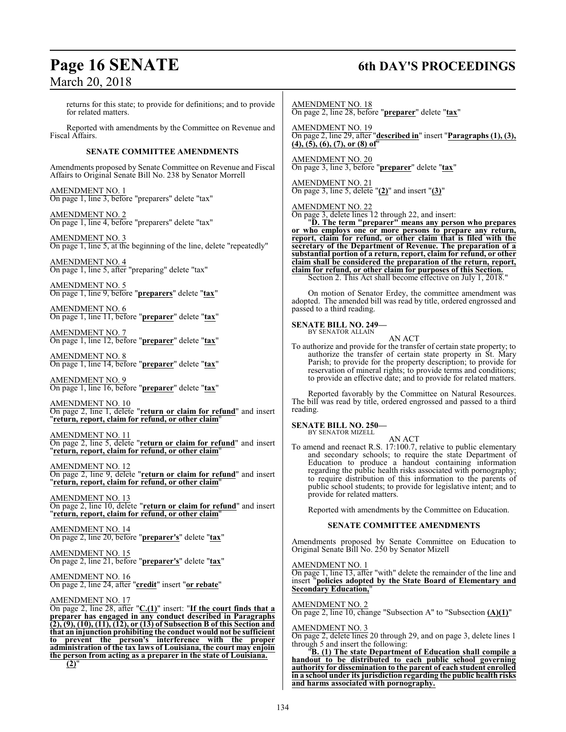## **Page 16 SENATE 6th DAY'S PROCEEDINGS** March 20, 2018

| returns for this state; to provide for definitions; and to provide<br>for related matters.                                                                                                                                                                                           | <b>AMENDMENT NO. 18</b><br>On page 2, line 28, before "preparer" delete "tax"                                                                                                                                                                                             |
|--------------------------------------------------------------------------------------------------------------------------------------------------------------------------------------------------------------------------------------------------------------------------------------|---------------------------------------------------------------------------------------------------------------------------------------------------------------------------------------------------------------------------------------------------------------------------|
| Reported with amendments by the Committee on Revenue and<br>Fiscal Affairs.                                                                                                                                                                                                          | <b>AMENDMENT NO. 19</b><br>On page 2, line 29, after "described in" insert "Paragraphs (1), (3),                                                                                                                                                                          |
| <b>SENATE COMMITTEE AMENDMENTS</b>                                                                                                                                                                                                                                                   | $(4), (5), (6), (7),$ or $(8)$ of"                                                                                                                                                                                                                                        |
| Amendments proposed by Senate Committee on Revenue and Fiscal<br>Affairs to Original Senate Bill No. 238 by Senator Morrell                                                                                                                                                          | <b>AMENDMENT NO. 20</b><br>On page 3, line 3, before "preparer" delete "tax"                                                                                                                                                                                              |
| AMENDMENT NO. 1<br>On page 1, line 3, before "preparers" delete "tax"                                                                                                                                                                                                                | <b>AMENDMENT NO. 21</b><br>On page 3, line 5, delete $"(2)"$ and insert $"(3)"$                                                                                                                                                                                           |
| AMENDMENT NO. 2<br>On page 1, line 4, before "preparers" delete "tax"                                                                                                                                                                                                                | <b>AMENDMENT NO. 22</b><br>On page 3, delete lines 12 through 22, and insert:<br><sup>'</sup> "D. The term "preparer" means any person who prepares or who employs one or more persons to prepare any return,                                                             |
| AMENDMENT NO. 3<br>On page 1, line 5, at the beginning of the line, delete "repeatedly"                                                                                                                                                                                              | report, claim for refund, or other claim that is filed with the<br>secretary of the Department of Revenue. The preparation of a                                                                                                                                           |
| <u>AMENDMENT NO. 4</u><br>On page 1, line 5, after "preparing" delete "tax"                                                                                                                                                                                                          | substantial portion of a return, report, claim for refund, or other<br>claim shall be considered the preparation of the return, report,<br>claim for refund, or other claim for purposes of this Section.<br>Section 2. This Act shall become effective on July 1, 2018." |
| <u>AMENDMENT NO. 5</u><br>On page 1, line 9, before "preparers" delete "tax"                                                                                                                                                                                                         | On motion of Senator Erdey, the committee amendment was<br>adopted. The amended bill was read by title, ordered engrossed and                                                                                                                                             |
| <b>AMENDMENT NO. 6</b><br>On page 1, line 11, before "preparer" delete "tax"                                                                                                                                                                                                         | passed to a third reading.<br><b>SENATE BILL NO. 249-</b>                                                                                                                                                                                                                 |
| <u>AMENDMENT NO. 7</u><br>On page 1, line 12, before "preparer" delete "tax"                                                                                                                                                                                                         | BY SENATOR ALLAIN<br>AN ACT<br>To authorize and provide for the transfer of certain state property; to                                                                                                                                                                    |
| <u>AMENDMENT NO. 8</u><br>On page 1, line 14, before "preparer" delete "tax"                                                                                                                                                                                                         | authorize the transfer of certain state property in St. Mary<br>Parish; to provide for the property description; to provide for<br>reservation of mineral rights; to provide terms and conditions;                                                                        |
| <u>AMENDMENT NO. 9</u><br>On page 1, line 16, before "preparer" delete "tax"                                                                                                                                                                                                         | to provide an effective date; and to provide for related matters.<br>Reported favorably by the Committee on Natural Resources.                                                                                                                                            |
| AMENDMENT NO. 10<br>On page 2, line 1, delete "return or claim for refund" and insert<br>"return, report, claim for refund, or other claim"                                                                                                                                          | The bill was read by title, ordered engrossed and passed to a third<br>reading.                                                                                                                                                                                           |
| AMENDMENT NO. 11                                                                                                                                                                                                                                                                     | <b>SENATE BILL NO. 250—</b><br>BY SENATOR MIZELL                                                                                                                                                                                                                          |
| On page 2, line 5, delete "return or claim for refund" and insert<br>"return, report, claim for refund, or other claim"                                                                                                                                                              | AN ACT<br>To amend and reenact R.S. 17:100.7, relative to public elementary<br>and secondary schools; to require the state Department of                                                                                                                                  |
| <b>AMENDMENT NO. 12</b><br>On page 2, line 9, delete "return or claim for refund" and insert<br>"return, report, claim for refund, or other claim"                                                                                                                                   | Education to produce a handout containing information<br>regarding the public health risks associated with pornography;<br>to require distribution of this information to the parents of<br>public school students; to provide for legislative intent; and to             |
| AMENDMENT NO. 13<br>On page 2, line 10, delete "return or claim for refund" and insert<br>"return, report, claim for refund, or other claim"                                                                                                                                         | provide for related matters.<br>Reported with amendments by the Committee on Education.                                                                                                                                                                                   |
| <b>AMENDMENT NO. 14</b>                                                                                                                                                                                                                                                              | <b>SENATE COMMITTEE AMENDMENTS</b>                                                                                                                                                                                                                                        |
| On page 2, line 20, before "preparer's" delete "tax"                                                                                                                                                                                                                                 | Amendments proposed by Senate Committee on Education to<br>Original Senate Bill No. 250 by Senator Mizell                                                                                                                                                                 |
| AMENDMENT NO. 15<br>On page 2, line 21, before " <mark>preparer's</mark> " delete " <u>tax</u> "                                                                                                                                                                                     | AMENDMENT NO. 1                                                                                                                                                                                                                                                           |
| <u>AMENDMENT NO. 16</u><br>On page 2, line 24, after "credit" insert "or rebate"                                                                                                                                                                                                     | On page 1, line 13, after "with" delete the remainder of the line and<br>insert "policies adopted by the State Board of Elementary and<br><b>Secondary Education,"</b>                                                                                                    |
| AMENDMENT NO. 17<br>On page 2, line $28$ , after "C.(1)" insert: "If the court finds that a                                                                                                                                                                                          | <b>AMENDMENT NO. 2</b><br>On page 2, line 10, change "Subsection A" to "Subsection $(A)(1)$ "                                                                                                                                                                             |
| preparer has engaged in any conduct described in Paragraphs<br>$(2), (9), (10), (11), (12),$ or $(13)$ of Subsection B of this Section and<br>that an injunction prohibiting the conduct would not be sufficient<br>prevent the person's interference<br>with<br>the<br>to<br>proper | <b>AMENDMENT NO. 3</b><br>On page 2, delete lines 20 through 29, and on page 3, delete lines 1                                                                                                                                                                            |
| administration of the tay laws of Louisiana, the court may enjoin                                                                                                                                                                                                                    | through 5 and insert the following:                                                                                                                                                                                                                                       |

"**B. (1) The state Department of Education shall compile a handout to be distributed to each public school governing authority for dissemination to the parent of each student enrolled in a school under its jurisdiction regarding the public health risks and harms associated with pornography.**

**administration of the tax laws of Louisiana, the court may enjoin the person from acting as a preparer in the state of Louisiana.**

**(2)**"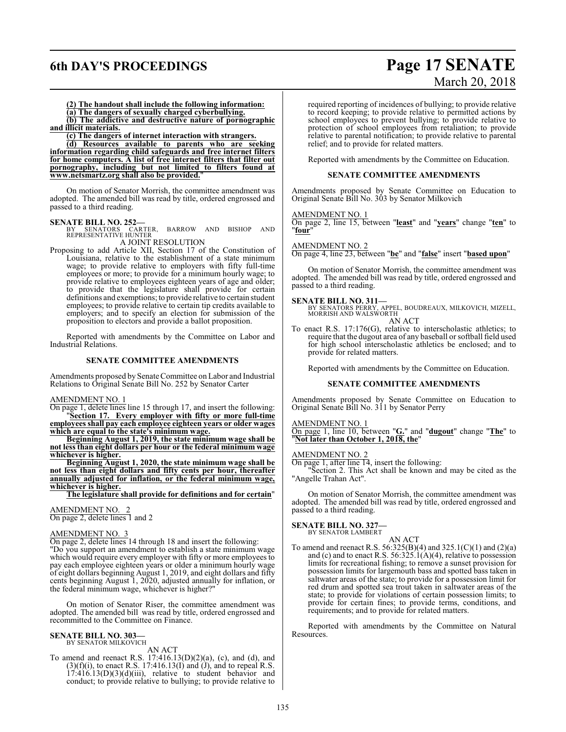### **6th DAY'S PROCEEDINGS Page 17 SENATE**

# March 20, 2018

**(2) The handout shall include the following information: (a) The dangers of sexually charged cyberbullying.**

**(b) The addictive and destructive nature of pornographic and illicit materials.**

**(c) The dangers of internet interaction with strangers.**

**(d) Resources available to parents who are seeking information regarding child safeguards and free internet filters for home computers. A list of free internet filters that filter out pornography, including but not limited to filters found at www.netsmartz.org shall also be provided.**"

On motion of Senator Morrish, the committee amendment was adopted. The amended bill was read by title, ordered engrossed and passed to a third reading.

**SENATE BILL NO. 252—**<br>BY SENATORS CARTER, BARROW AND BISHOP AND<br>REPRESENTATIVE HUNTER<br>A JOINT RESOLUTION

Proposing to add Article XII, Section 17 of the Constitution of Louisiana, relative to the establishment of a state minimum wage; to provide relative to employers with fifty full-time employees or more; to provide for a minimum hourly wage; to provide relative to employees eighteen years of age and older; to provide that the legislature shall provide for certain definitions and exemptions; to provide relative to certain student employees; to provide relative to certain tip credits available to employers; and to specify an election for submission of the proposition to electors and provide a ballot proposition.

Reported with amendments by the Committee on Labor and Industrial Relations.

### **SENATE COMMITTEE AMENDMENTS**

Amendments proposed by Senate Committee on Labor and Industrial Relations to Original Senate Bill No. 252 by Senator Carter

AMENDMENT NO. 1

On page 1, delete lines line 15 through 17, and insert the following: "**Section 17. Every employer with fifty or more full-time employees shall pay each employee eighteen years or older wages**

**which are equal to the state's minimum wage. Beginning August 1, 2019, the state minimum wage shall be**

**not less than eight dollars per hour or the federal minimum wage whichever is higher.**

**Beginning August 1, 2020, the state minimum wage shall be not less than eight dollars and fifty cents per hour, thereafter annually adjusted for inflation, or the federal minimum wage, whichever is higher.**

**The legislature shall provide for definitions and for certain**"

AMENDMENT NO. 2 On page 2, delete lines 1 and 2

### AMENDMENT NO. 3

On page 2, delete lines 14 through 18 and insert the following: "Do you support an amendment to establish a state minimum wage which would require every employer with fifty or more employees to pay each employee eighteen years or older a minimum hourly wage of eight dollars beginning August 1, 2019, and eight dollars and fifty cents beginning August 1, 2020, adjusted annually for inflation, or the federal minimum wage, whichever is higher?"

On motion of Senator Riser, the committee amendment was adopted. The amended bill was read by title, ordered engrossed and recommitted to the Committee on Finance.

### **SENATE BILL NO. 303—**

BY SENATOR MILKOVICH

AN ACT To amend and reenact R.S.  $17:416.13(D)(2)(a)$ , (c), and (d), and  $(3)(f)(i)$ , to enact R.S. 17:416.13(I) and  $(j)$ , and to repeal R.S.  $17:416.13(D)(3)(d)(iii)$ , relative to student behavior and conduct; to provide relative to bullying; to provide relative to

required reporting of incidences of bullying; to provide relative to record keeping; to provide relative to permitted actions by school employees to prevent bullying; to provide relative to protection of school employees from retaliation; to provide relative to parental notification; to provide relative to parental relief; and to provide for related matters.

Reported with amendments by the Committee on Education.

### **SENATE COMMITTEE AMENDMENTS**

Amendments proposed by Senate Committee on Education to Original Senate Bill No. 303 by Senator Milkovich

### AMENDMENT NO. 1

On page 2, line 15, between "**least**" and "**years**" change "**ten**" to "**four**"

### AMENDMENT NO. 2

On page 4, line 23, between "**be**" and "**false**" insert "**based upon**"

On motion of Senator Morrish, the committee amendment was adopted. The amended bill was read by title, ordered engrossed and passed to a third reading.

### **SENATE BILL NO. 311—**

BY SENATORS PERRY, APPEL, BOUDREAUX, MILKOVICH, MIZELL, MORRISH AND WALSWORTH AN ACT

To enact R.S. 17:176(G), relative to interscholastic athletics; to require that the dugout area of any baseball or softball field used for high school interscholastic athletics be enclosed; and to provide for related matters.

Reported with amendments by the Committee on Education.

### **SENATE COMMITTEE AMENDMENTS**

Amendments proposed by Senate Committee on Education to Original Senate Bill No. 311 by Senator Perry

### AMENDMENT NO. 1

On page 1, line 10, between "**G.**" and "**dugout**" change "**The**" to "**Not later than October 1, 2018, the**"

### AMENDMENT NO. 2

On page 1, after line 14, insert the following:

"Section 2. This Act shall be known and may be cited as the "Angelle Trahan Act".

On motion of Senator Morrish, the committee amendment was adopted. The amended bill was read by title, ordered engrossed and passed to a third reading.

### **SENATE BILL NO. 327—**

BY SENATOR LAMBERT AN ACT

To amend and reenact R.S.  $56:325(B)(4)$  and  $325.1(C)(1)$  and  $(2)(a)$ and (c) and to enact R.S.  $56:325.1(A)(4)$ , relative to possession limits for recreational fishing; to remove a sunset provision for possession limits for largemouth bass and spotted bass taken in saltwater areas of the state; to provide for a possession limit for red drum and spotted sea trout taken in saltwater areas of the state; to provide for violations of certain possession limits; to provide for certain fines; to provide terms, conditions, and requirements; and to provide for related matters.

Reported with amendments by the Committee on Natural Resources.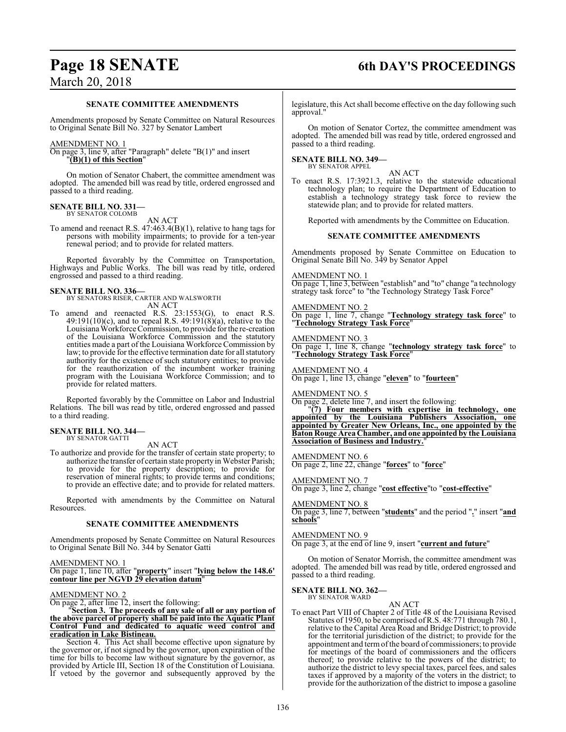## **Page 18 SENATE 6th DAY'S PROCEEDINGS**

### March 20, 2018

### **SENATE COMMITTEE AMENDMENTS**

Amendments proposed by Senate Committee on Natural Resources to Original Senate Bill No. 327 by Senator Lambert

### AMENDMENT NO. 1

On page 3, line 9, after "Paragraph" delete "B(1)" and insert "**(B)(1) of this Section**"

On motion of Senator Chabert, the committee amendment was adopted. The amended bill was read by title, ordered engrossed and passed to a third reading.

#### **SENATE BILL NO. 331—** BY SENATOR COLOMB

AN ACT

To amend and reenact R.S. 47:463.4(B)(1), relative to hang tags for persons with mobility impairments; to provide for a ten-year renewal period; and to provide for related matters.

Reported favorably by the Committee on Transportation, Highways and Public Works. The bill was read by title, ordered engrossed and passed to a third reading.

### **SENATE BILL NO. 336—**

BY SENATORS RISER, CARTER AND WALSWORTH AN ACT

To amend and reenacted R.S. 23:1553(G), to enact R.S.  $49:191(10)$ (c), and to repeal R.S.  $49:191(8)$ (a), relative to the Louisiana Workforce Commission, to provide for the re-creation of the Louisiana Workforce Commission and the statutory entities made a part of the Louisiana Workforce Commission by law; to provide for the effective termination date for all statutory authority for the existence of such statutory entities; to provide for the reauthorization of the incumbent worker training program with the Louisiana Workforce Commission; and to provide for related matters.

Reported favorably by the Committee on Labor and Industrial Relations. The bill was read by title, ordered engrossed and passed to a third reading.

### **SENATE BILL NO. 344—** BY SENATOR GATTI

AN ACT

To authorize and provide for the transfer of certain state property; to authorize the transfer of certain state property in Webster Parish; to provide for the property description; to provide for reservation of mineral rights; to provide terms and conditions; to provide an effective date; and to provide for related matters.

Reported with amendments by the Committee on Natural Resources.

### **SENATE COMMITTEE AMENDMENTS**

Amendments proposed by Senate Committee on Natural Resources to Original Senate Bill No. 344 by Senator Gatti

AMENDMENT NO. 1 On page 1, line 10, after "**property**" insert "**lying below the 148.6' contour line per NGVD 29 elevation datum**"

### AMENDMENT NO. 2

On page 2, after line 12, insert the following:

### "**Section 3. The proceeds of any sale of all or any portion of the above parcel of property shall be paid into the Aquatic Plant Control Fund and dedicated to aquatic weed control and eradication in Lake Bistineau.**

Section 4. This Act shall become effective upon signature by the governor or, if not signed by the governor, upon expiration of the time for bills to become law without signature by the governor, as provided by Article III, Section 18 of the Constitution of Louisiana. If vetoed by the governor and subsequently approved by the legislature, this Act shall become effective on the day following such approval."

On motion of Senator Cortez, the committee amendment was adopted. The amended bill was read by title, ordered engrossed and passed to a third reading.

### **SENATE BILL NO. 349—** BY SENATOR APPEL

AN ACT To enact R.S. 17:3921.3, relative to the statewide educational technology plan; to require the Department of Education to establish a technology strategy task force to review the statewide plan; and to provide for related matters.

Reported with amendments by the Committee on Education.

### **SENATE COMMITTEE AMENDMENTS**

Amendments proposed by Senate Committee on Education to Original Senate Bill No. 349 by Senator Appel

AMENDMENT NO. 1

On page 1, line 3, between "establish" and "to" change "a technology strategy task force" to "the Technology Strategy Task Force"

AMENDMENT NO. 2

On page 1, line 7, change "**Technology strategy task force**" to "**Technology Strategy Task Force**"

AMENDMENT NO. 3

On page 1, line 8, change "**technology strategy task force**" to "**Technology Strategy Task Force**"

AMENDMENT NO. 4 On page 1, line 13, change "**eleven**" to "**fourteen**"

AMEND<u>MENT NO. 5</u>

On page 2, delete line 7, and insert the following:

"**(7) Four members with expertise in technology, one appointed by the Louisiana Publishers Association, one appointed by Greater New Orleans, Inc., one appointed by the Baton Rouge Area Chamber, and one appointed by the Louisiana Association of Business and Industry.**"

AMENDMENT NO. 6 On page 2, line 22, change "**forces**" to "**force**"

AMENDMENT NO. 7 On page 3, line 2, change "**cost effective**"to "**cost-effective**"

AMENDMENT NO. 8 On page 3, line 7, between "**students**" and the period "**.**" insert "**and schools**"

AMENDMENT NO. 9

On page 3, at the end of line 9, insert "**current and future**"

On motion of Senator Morrish, the committee amendment was adopted. The amended bill was read by title, ordered engrossed and passed to a third reading.

#### **SENATE BILL NO. 362—** BY SENATOR WARD

AN ACT To enact Part VIII of Chapter 2 of Title 48 of the Louisiana Revised Statutes of 1950, to be comprised ofR.S. 48:771 through 780.1, relative to the Capital Area Road and Bridge District; to provide for the territorial jurisdiction of the district; to provide for the appointment and termofthe board of commissioners; to provide for meetings of the board of commissioners and the officers thereof; to provide relative to the powers of the district; to authorize the district to levy special taxes, parcel fees, and sales taxes if approved by a majority of the voters in the district; to provide for the authorization of the district to impose a gasoline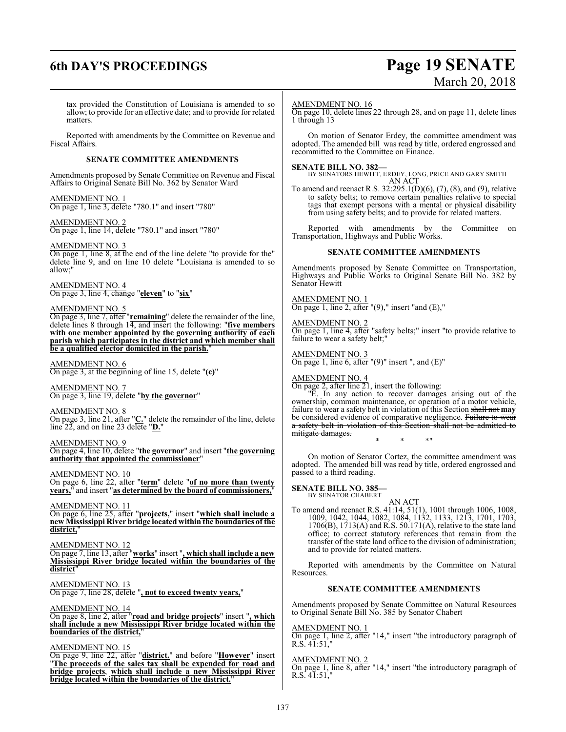### **6th DAY'S PROCEEDINGS Page 19 SENATE**

# March 20, 2018

tax provided the Constitution of Louisiana is amended to so allow; to provide for an effective date; and to provide for related matters.

Reported with amendments by the Committee on Revenue and Fiscal Affairs.

### **SENATE COMMITTEE AMENDMENTS**

Amendments proposed by Senate Committee on Revenue and Fiscal Affairs to Original Senate Bill No. 362 by Senator Ward

AMENDMENT NO. 1 On page 1, line 3, delete "780.1" and insert "780"

AMENDMENT NO. 2 On page 1, line 14, delete "780.1" and insert "780"

### AMENDMENT NO. 3

On page 1, line 8, at the end of the line delete "to provide for the" delete line 9, and on line 10 delete "Louisiana is amended to so allow;"

AMENDMENT NO. 4 On page 3, line 4, change "**eleven**" to "**six**"

### AMENDMENT NO. 5

On page 3, line 7, after "**remaining**" delete the remainder of the line, delete lines 8 through 14, and insert the following: "**five members with one member appointed by the governing authority of each parish which participates in the district and which member shall be a qualified elector domiciled in the parish.**"

### AMENDMENT NO. 6

On page 3, at the beginning of line 15, delete "**(c)**"

AMENDMENT NO. 7 On page 3, line 19, delete "**by the governor**"

AMENDMENT NO. 8

On page 3, line 21, after "**C.**" delete the remainder of the line, delete line 22, and on line 23 delete "**D.**"

AMENDMENT NO. 9

On page 4, line 10, delete "**the governor**" and insert "**the governing authority that appointed the commissioner**"

AMENDMENT NO. 10 On page 6, line 22, after "**term**" delete "**of no more than twenty years,**" and insert "**as determined by the board of commissioners,**"

### AMENDMENT NO. 11 On page 6, line 25, after "**projects,**" insert "**which shall include a new Mississippi River bridge located within the boundaries of the district,**"

AMENDMENT NO. 12 On page 7, line 13, after "**works**" insert "**, which shall include a new Mississippi River bridge located within the boundaries of the district**"

AMENDMENT NO. 13

On page 7, line 28, delete "**, not to exceed twenty years,**"

### AMENDMENT NO. 14

On page 8, line 2, after "**road and bridge projects**" insert "**, which shall include a new Mississippi River bridge located within the boundaries of the district,**"

### AMENDMENT NO. 15

On page 9, line 22, after "**district.**" and before "**However**" insert "**The proceeds of the sales tax shall be expended for road and bridge projects**, **which shall include a new Mississippi River bridge located within the boundaries of the district.**"

### AMENDMENT NO. 16

On page 10, delete lines 22 through 28, and on page 11, delete lines 1 through 13

On motion of Senator Erdey, the committee amendment was adopted. The amended bill was read by title, ordered engrossed and recommitted to the Committee on Finance.

**SENATE BILL NO. 382—** BY SENATORS HEWITT, ERDEY, LONG, PRICE AND GARY SMITH AN ACT

To amend and reenact R.S. 32:295.1(D)(6), (7), (8), and (9), relative to safety belts; to remove certain penalties relative to special tags that exempt persons with a mental or physical disability from using safety belts; and to provide for related matters.

Reported with amendments by the Committee on Transportation, Highways and Public Works.

### **SENATE COMMITTEE AMENDMENTS**

Amendments proposed by Senate Committee on Transportation, Highways and Public Works to Original Senate Bill No. 382 by Senator Hewitt

AMENDMENT NO. 1

On page 1, line 2, after  $"(9)$ ," insert "and  $(E)$ ,"

AMENDMENT NO. 2 On page 1, line 4, after "safety belts;" insert "to provide relative to failure to wear a safety belt;"

AMENDMENT NO. 3 On page 1, line 6, after  $"(9)"$  insert ", and  $(E)"$ 

AMENDMENT NO. 4

On page 2, after line 21, insert the following:

"E. In any action to recover damages arising out of the ownership, common maintenance, or operation of a motor vehicle, failure to wear a safety belt in violation of this Section shall not **may** be considered evidence of comparative negligence. Failure to wear a safety belt in violation of this Section shall not be admitted to mitigate damages.

\* \* \*"

On motion of Senator Cortez, the committee amendment was adopted. The amended bill was read by title, ordered engrossed and passed to a third reading.

**SENATE BILL NO. 385—** BY SENATOR CHABERT

AN ACT

To amend and reenact R.S. 41:14, 51(1), 1001 through 1006, 1008, 1009, 1042, 1044, 1082, 1084, 1132, 1133, 1213, 1701, 1703, 1706(B), 1713(A) and R.S. 50.171(A), relative to the state land office; to correct statutory references that remain from the transfer of the state land office to the division of administration; and to provide for related matters.

Reported with amendments by the Committee on Natural Resources.

### **SENATE COMMITTEE AMENDMENTS**

Amendments proposed by Senate Committee on Natural Resources to Original Senate Bill No. 385 by Senator Chabert

### AMENDMENT NO. 1

On page 1, line 2, after "14," insert "the introductory paragraph of  $R.S. 41:51,$ 

### AMENDMENT NO. 2

On page 1, line 8, after "14," insert "the introductory paragraph of  $R.S. 41:51,$ "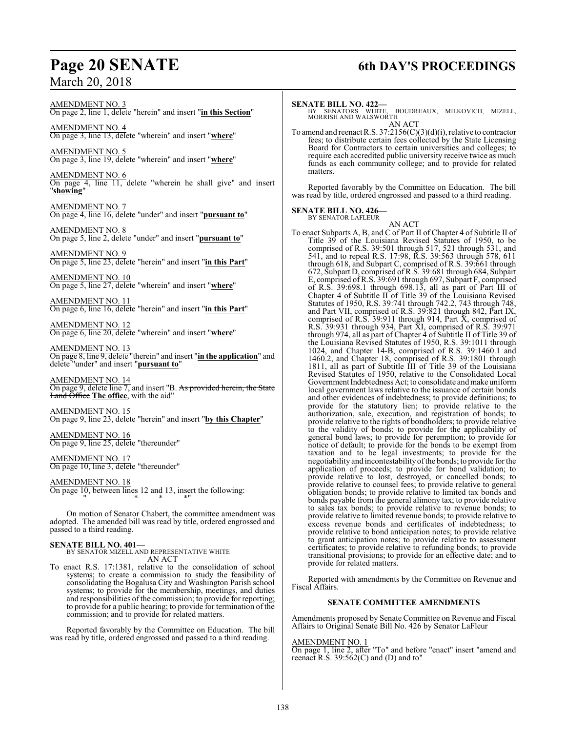## **Page 20 SENATE 6th DAY'S PROCEEDINGS**

AMENDMENT NO. 3 On page 2, line 1, delete "herein" and insert "**in this Section**"

AMENDMENT NO. 4 On page 3, line 13, delete "wherein" and insert "**where**"

AMENDMENT NO. 5 On page 3, line 19, delete "wherein" and insert "**where**"

AMENDMENT NO. 6 On page 4, line 11, delete "wherein he shall give" and insert "**showing**"

AMENDMENT NO. 7 On page 4, line 16, delete "under" and insert "**pursuant to**"

AMENDMENT NO. 8 On page 5, line 2, delete "under" and insert "**pursuant to**"

AMENDMENT NO. 9 On page 5, line 23, delete "herein" and insert "**in this Part**"

AMENDMENT NO. 10 On page 5, line 27, delete "wherein" and insert "**where**"

AMENDMENT NO. 11 On page 6, line 16, delete "herein" and insert "**in this Part**"

AMENDMENT NO. 12 On page 6, line 20, delete "wherein" and insert "**where**"

AMENDMENT NO. 13 On page 8, line 9, delete "therein" and insert "**in the application**" and delete "under" and insert "**pursuant to**"

AMENDMENT NO. 14 On page 9, delete line 7, and insert "B. As provided herein, the State Land Office **The office**, with the aid"

AMENDMENT NO. 15 On page 9, line 23, delete "herein" and insert "**by this Chapter**"

AMENDMENT NO. 16 On page 9, line 25, delete "thereunder"

AMENDMENT NO. 17 On page 10, line 3, delete "thereunder"

AMENDMENT NO. 18 On page 10, between lines 12 and 13, insert the following: " \* \* \*"

On motion of Senator Chabert, the committee amendment was adopted. The amended bill was read by title, ordered engrossed and passed to a third reading.

### **SENATE BILL NO. 401—**

BY SENATOR MIZELL AND REPRESENTATIVE WHITE AN ACT

To enact R.S. 17:1381, relative to the consolidation of school systems; to create a commission to study the feasibility of consolidating the Bogalusa City and Washington Parish school systems; to provide for the membership, meetings, and duties and responsibilities of the commission; to provide for reporting; to provide for a public hearing; to provide for termination of the commission; and to provide for related matters.

Reported favorably by the Committee on Education. The bill was read by title, ordered engrossed and passed to a third reading.

### **SENATE BILL NO. 422—**

BY SENATORS WHITE, BOUDREAUX, MILKOVICH, MIZELL, MORRISH AND WALSWORTH

AN ACT To amend and reenact R.S. 37:2156(C)(3)(d)(i), relative to contractor fees; to distribute certain fees collected by the State Licensing Board for Contractors to certain universities and colleges; to require each accredited public university receive twice as much funds as each community college; and to provide for related matters.

Reported favorably by the Committee on Education. The bill was read by title, ordered engrossed and passed to a third reading.

## **SENATE BILL NO. 426—** BY SENATOR LAFLEUR

AN ACT To enact Subparts A, B, and C of Part II of Chapter 4 of Subtitle II of Title 39 of the Louisiana Revised Statutes of 1950, to be comprised of R.S. 39:501 through 517, 521 through 531, and 541, and to repeal R.S. 17:98, R.S. 39:563 through 578, 611 through 618, and Subpart C, comprised of R.S. 39:661 through 672, Subpart D, comprised ofR.S. 39:681 through 684, Subpart E, comprised of R.S. 39:691 through 697, Subpart F, comprised of R.S. 39:698.1 through 698.13, all as part of Part III of Chapter 4 of Subtitle II of Title 39 of the Louisiana Revised Statutes of 1950, R.S. 39:741 through 742.2, 743 through 748, and Part VII, comprised of R.S. 39:821 through 842, Part IX, comprised of R.S. 39:911 through 914, Part  $\bar{X}$ , comprised of R.S. 39:931 through 934, Part XI, comprised of R.S. 39:971 through 974, all as part of Chapter 4 of Subtitle II of Title 39 of the Louisiana Revised Statutes of 1950, R.S. 39:1011 through 1024, and Chapter 14-B, comprised of R.S. 39:1460.1 and 1460.2, and Chapter 18, comprised of R.S. 39:1801 through 1811, all as part of Subtitle III of Title 39 of the Louisiana Revised Statutes of 1950, relative to the Consolidated Local Government Indebtedness Act; to consolidate and make uniform local government laws relative to the issuance of certain bonds and other evidences of indebtedness; to provide definitions; to provide for the statutory lien; to provide relative to the authorization, sale, execution, and registration of bonds; to provide relative to the rights of bondholders; to provide relative to the validity of bonds; to provide for the applicability of general bond laws; to provide for peremption; to provide for notice of default; to provide for the bonds to be exempt from taxation and to be legal investments; to provide for the negotiability and incontestability ofthe bonds; to provide for the application of proceeds; to provide for bond validation; to provide relative to lost, destroyed, or cancelled bonds; to provide relative to counsel fees; to provide relative to general obligation bonds; to provide relative to limited tax bonds and bonds payable from the general alimony tax; to provide relative to sales tax bonds; to provide relative to revenue bonds; to provide relative to limited revenue bonds; to provide relative to excess revenue bonds and certificates of indebtedness; to provide relative to bond anticipation notes; to provide relative to grant anticipation notes; to provide relative to assessment certificates; to provide relative to refunding bonds; to provide transitional provisions; to provide for an effective date; and to provide for related matters.

Reported with amendments by the Committee on Revenue and Fiscal Affairs.

### **SENATE COMMITTEE AMENDMENTS**

Amendments proposed by Senate Committee on Revenue and Fiscal Affairs to Original Senate Bill No. 426 by Senator LaFleur

### AMENDMENT NO. 1

On page 1, line 2, after "To" and before "enact" insert "amend and reenact R.S.  $39:562(C)$  and (D) and to"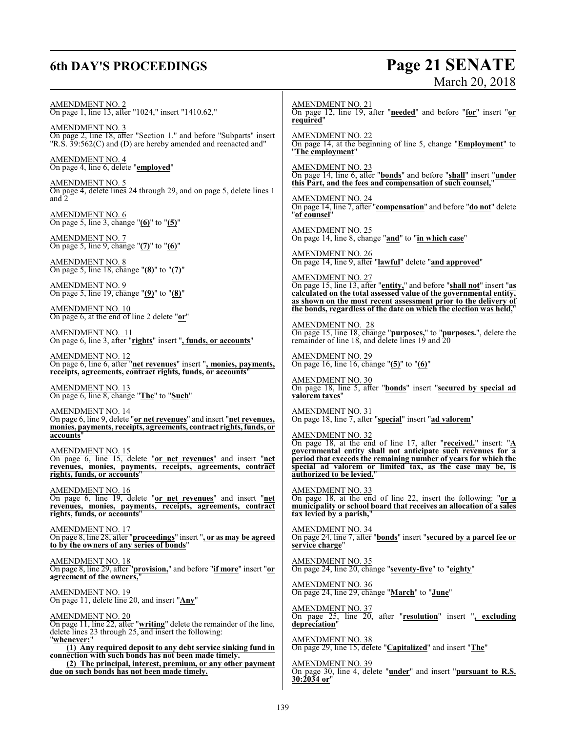## **6th DAY'S PROCEEDINGS**

# Page 21 SENATE<br>March 20, 2018

| AMENDMENT NO. 2<br>On page 1, line 13, after "1024," insert "1410.62,"                                                                                                                     | <b>AMENDMENT NO. 21</b><br>On page 12, line 19, after "needed" and before "for" insert "or<br>required"                                                                                                                                                                                                                 |
|--------------------------------------------------------------------------------------------------------------------------------------------------------------------------------------------|-------------------------------------------------------------------------------------------------------------------------------------------------------------------------------------------------------------------------------------------------------------------------------------------------------------------------|
| <b>AMENDMENT NO. 3</b><br>On page 2, line 18, after "Section 1." and before "Subparts" insert<br>$"R.\dot{S}.\dot{3}9:562(C)$ and (D) are hereby amended and reenacted and "               | <b>AMENDMENT NO. 22</b><br>On page 14, at the beginning of line 5, change "Employment" to<br>"The employment"                                                                                                                                                                                                           |
| <u>AMENDMENT NO. 4</u><br>On page 4, line 6, delete "employed"<br>AMENDMENT NO. 5                                                                                                          | AMENDMENT NO. 23<br>On page 14, line 6, after " <b>bonds</b> " and before " <b>shall</b> " insert " <b>under</b><br>this Part, and the fees and compensation of such counsel,"                                                                                                                                          |
| On page 4, delete lines 24 through 29, and on page 5, delete lines 1<br>and 2                                                                                                              | <b>AMENDMENT NO. 24</b><br>On page 14, line 7, after "compensation" and before "do not" delete<br>"of counsel"                                                                                                                                                                                                          |
| $\frac{\text{AMENDMENT NO. 6}}{\text{On page 5, line 3, change}}$ "(6)" to "(5)"<br><u>AMENDMENT NO. 7</u><br>On page 5, line 9, change " $(7)$ " to " $(6)$ "                             | <b>AMENDMENT NO. 25</b><br>On page 14, line 8, change "and" to "in which case"                                                                                                                                                                                                                                          |
| <b>AMENDMENT NO. 8</b><br>On page 5, line 18, change " $(8)$ " to " $(7)$ "                                                                                                                | <b>AMENDMENT NO. 26</b><br>On page 14, line 9, after "lawful" delete "and approved"                                                                                                                                                                                                                                     |
| <b>AMENDMENT NO. 9</b><br>On page 5, line 19, change " $(9)$ " to " $(8)$ "                                                                                                                | AMENDMENT NO. 27<br>On page 15, line 13, after "entity," and before "shall not" insert "as<br>calculated on the total assessed value of the governmental entity,<br>as shown on the most recent assessment prior to the delivery of                                                                                     |
| <b>AMENDMENT NO. 10</b><br>On page 6, at the end of line 2 delete "or"                                                                                                                     | the bonds, regardless of the date on which the election was held,"<br>AMENDMENT NO. 28                                                                                                                                                                                                                                  |
| AMENDMENT NO. 11<br>On page 6, line 3, after " <mark>rights</mark> " insert " <u>, funds, or accounts</u> "                                                                                | On page 15, line 18, change " <b>purposes</b> ," to " <b>purposes</b> .", delete the remainder of line 18, and delete lines 19 and 20                                                                                                                                                                                   |
| <u>AMENDMENT NO. 12</u><br>On page 6, line 6, after "net revenues" insert ", monies, payments,<br>receipts, agreements, contract rights, funds, or accounts                                | <b>AMENDMENT NO. 29</b><br>On page 16, line 16, change " $(5)$ " to " $(6)$ "                                                                                                                                                                                                                                           |
| AMENDMENT NO. 13<br>On page 6, line 8, change "The" to "Such"                                                                                                                              | <b>AMENDMENT NO. 30</b><br>On page 18, line 5, after "bonds" insert "secured by special ad<br>valorem taxes"                                                                                                                                                                                                            |
| <b>AMENDMENT NO. 14</b><br>On page 6, line 9, delete "or net revenues" and insert "net revenues,<br>monies, payments, receipts, agreements, contract rights, funds, or                     | <b>AMENDMENT NO. 31</b><br>On page 18, line 7, after "special" insert "ad valorem"                                                                                                                                                                                                                                      |
| accounts"<br>AMENDMENT NO. 15<br>On page 6, line 15, delete "or net revenues" and insert "net<br>revenues, monies, payments, receipts, agreements, contract<br>rights, funds, or accounts" | <u>AMENDMENT NO. 32</u><br>On page 18, at the end of line 17, after "received." insert: "A<br>governmental entity shall not anticipate such revenues for a<br>period that exceeds the remaining number of years for which the<br>special ad valorem or limited tax, as the case may be, is<br>authorized to be levied." |
| <b>AMENDMENT NO. 16</b><br>On page 6, line 19, delete "or net revenues" and insert "net<br>revenues, monies, payments, receipts, agreements, contract<br>rights, funds, or accounts"       | <b>AMENDMENT NO. 33</b><br>On page 18, at the end of line 22, insert the following: " $or a$<br>municipality or school board that receives an allocation of a sales<br>tax levied by a parish,"                                                                                                                         |
| <b>AMENDMENT NO. 17</b><br>On page 8, line 28, after "proceedings" insert ", or as may be agreed<br>to by the owners of any series of bonds"                                               | AMENDMENT NO. 34<br>On page 24, line 7, after "bonds" insert "secured by a parcel fee or<br>service charge"                                                                                                                                                                                                             |
| <b>AMENDMENT NO. 18</b><br>On page 8, line 29, after "provision," and before "if more" insert "or<br>agreement of the owners,                                                              | <b>AMENDMENT NO. 35</b><br>On page 24, line 20, change "seventy-five" to "eighty"                                                                                                                                                                                                                                       |
| <b>AMENDMENT NO. 19</b><br>On page 11, delete line 20, and insert "Any"                                                                                                                    | <b>AMENDMENT NO. 36</b><br>On page 24, line 29, change "March" to "June"                                                                                                                                                                                                                                                |
| AMENDMENT NO. 20<br>On page 11, line 22, after "writing" delete the remainder of the line,<br>delete lines 23 through 25, and insert the following:                                        | $\frac{\text{AMENDMENT NO. 37}}{\text{On page 25, line 20, after "resolution" insert ", excluding}$<br>depreciation"                                                                                                                                                                                                    |
| "whenever:"<br>$\overline{(1)}$ Any required deposit to any debt service sinking fund in<br>connection with such bonds has not been made timely.                                           | <b>AMENDMENT NO. 38</b><br>On page 29, line 15, delete "Capitalized" and insert "The"                                                                                                                                                                                                                                   |
| (2) The principal, interest, premium, or any other payment<br>due on such bonds has not been made timely.                                                                                  | <b>AMENDMENT NO. 39</b><br>On page 30, line 4, delete "under" and insert "pursuant to R.S.<br>30:2034 or"                                                                                                                                                                                                               |
|                                                                                                                                                                                            |                                                                                                                                                                                                                                                                                                                         |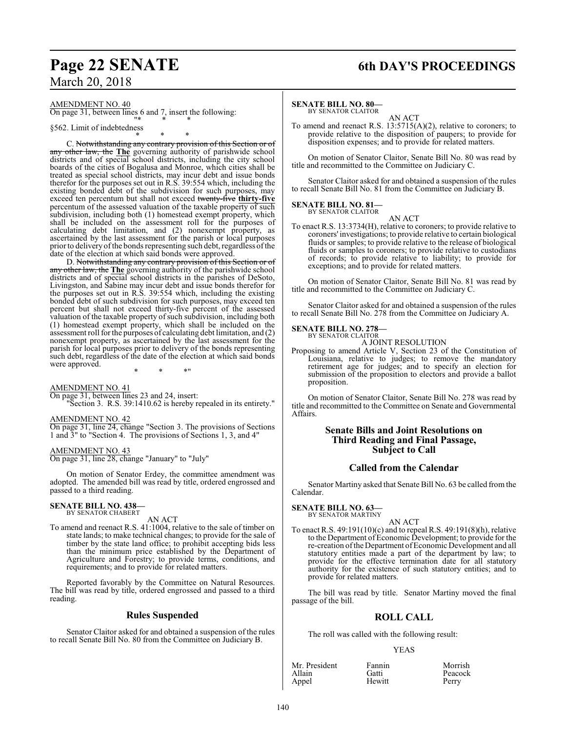### AMENDMENT NO. 40

On page 31, between lines 6 and 7, insert the following: "\* \* \*

### §562. Limit of indebtedness

\* \* \* C. Notwithstanding any contrary provision of this Section or of other law, the **The** governing authority of parishwide school districts and of special school districts, including the city school boards of the cities of Bogalusa and Monroe, which cities shall be treated as special school districts, may incur debt and issue bonds therefor for the purposes set out in R.S. 39:554 which, including the existing bonded debt of the subdivision for such purposes, may exceed ten percentum but shall not exceed twenty-five **thirty-five** percentum of the assessed valuation of the taxable property of such subdivision, including both (1) homestead exempt property, which shall be included on the assessment roll for the purposes of calculating debt limitation, and (2) nonexempt property, as ascertained by the last assessment for the parish or local purposes prior to delivery ofthe bonds representing such debt, regardless ofthe date of the election at which said bonds were approved.

D. Notwithstanding any contrary provision of this Section or of any other law, the **The** governing authority of the parishwide school districts and of special school districts in the parishes of DeSoto, Livingston, and Sabine may incur debt and issue bonds therefor for the purposes set out in R.S. 39:554 which, including the existing bonded debt of such subdivision for such purposes, may exceed ten percent but shall not exceed thirty-five percent of the assessed valuation of the taxable property of such subdivision, including both (1) homestead exempt property, which shall be included on the assessment roll forthe purposes of calculating debt limitation, and (2) nonexempt property, as ascertained by the last assessment for the parish for local purposes prior to delivery of the bonds representing such debt, regardless of the date of the election at which said bonds were approved. \* \* \*"

AMENDMENT NO. 41

On page 31, between lines 23 and 24, insert: "Section 3. R.S. 39:1410.62 is hereby repealed in its entirety."

### AMENDMENT NO. 42

On page 31, line 24, change "Section 3. The provisions of Sections 1 and 3" to "Section 4. The provisions of Sections 1, 3, and 4"

### AMENDMENT NO. 43

On page 31, line 28, change "January" to "July"

On motion of Senator Erdey, the committee amendment was adopted. The amended bill was read by title, ordered engrossed and passed to a third reading.

### **SENATE BILL NO. 438—** BY SENATOR CHABERT

AN ACT

To amend and reenact R.S. 41:1004, relative to the sale of timber on state lands; to make technical changes; to provide for the sale of timber by the state land office; to prohibit accepting bids less than the minimum price established by the Department of Agriculture and Forestry; to provide terms, conditions, and requirements; and to provide for related matters.

Reported favorably by the Committee on Natural Resources. The bill was read by title, ordered engrossed and passed to a third reading.

### **Rules Suspended**

Senator Claitor asked for and obtained a suspension of the rules to recall Senate Bill No. 80 from the Committee on Judiciary B.

## **Page 22 SENATE 6th DAY'S PROCEEDINGS**

### **SENATE BILL NO. 80—**

BY SENATOR CLAITOR AN ACT

To amend and reenact R.S. 13:5715(A)(2), relative to coroners; to provide relative to the disposition of paupers; to provide for disposition expenses; and to provide for related matters.

On motion of Senator Claitor, Senate Bill No. 80 was read by title and recommitted to the Committee on Judiciary C.

Senator Claitor asked for and obtained a suspension of the rules to recall Senate Bill No. 81 from the Committee on Judiciary B.

#### **SENATE BILL NO. 81—** BY SENATOR CLAITOR

AN ACT

To enact R.S. 13:3734(H), relative to coroners; to provide relative to coroners' investigations; to provide relative to certain biological fluids or samples; to provide relative to the release of biological fluids or samples to coroners; to provide relative to custodians of records; to provide relative to liability; to provide for exceptions; and to provide for related matters.

On motion of Senator Claitor, Senate Bill No. 81 was read by title and recommitted to the Committee on Judiciary C.

Senator Claitor asked for and obtained a suspension of the rules to recall Senate Bill No. 278 from the Committee on Judiciary A.

### **SENATE BILL NO. 278—**

BY SENATOR CLAITOR A JOINT RESOLUTION

Proposing to amend Article V, Section 23 of the Constitution of Louisiana, relative to judges; to remove the mandatory retirement age for judges; and to specify an election for submission of the proposition to electors and provide a ballot proposition.

On motion of Senator Claitor, Senate Bill No. 278 was read by title and recommitted to the Committee on Senate and Governmental Affairs.

### **Senate Bills and Joint Resolutions on Third Reading and Final Passage, Subject to Call**

### **Called from the Calendar**

Senator Martiny asked that Senate Bill No. 63 be called fromthe Calendar.

### **SENATE BILL NO. 63—** BY SENATOR MARTINY

AN ACT

To enact R.S. 49:191(10)(c) and to repeal R.S. 49:191(8)(h), relative to the Department of Economic Development; to provide for the re-creation of the Department of Economic Development and all statutory entities made a part of the department by law; to provide for the effective termination date for all statutory authority for the existence of such statutory entities; and to provide for related matters.

The bill was read by title. Senator Martiny moved the final passage of the bill.

### **ROLL CALL**

The roll was called with the following result:

### YEAS

| Mr. President | Fannin | Morrish |
|---------------|--------|---------|
| Allain        | Gatti  | Peacock |
| Appel         | Hewitt | Perry   |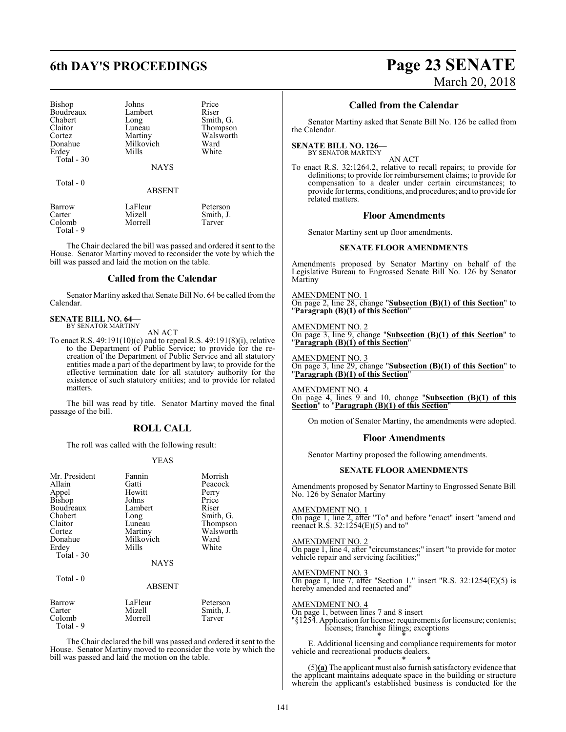| Johns       | Price   |
|-------------|---------|
| Lambert     | Riser   |
| Long        | Smith   |
| Luneau      | Thom    |
|             | Walsy   |
| Milkovich   | Ward    |
| Mills       | White   |
|             |         |
| <b>NAYS</b> |         |
|             | Martiny |

Total - 0

ABSENT

Smith, G. Thompson Walsworth<br>Ward

| Barrow    | LaFleur | Peterson  |
|-----------|---------|-----------|
| Carter    | Mizell  | Smith, J. |
| Colomb    | Morrell | Tarver    |
| Total - 9 |         |           |

The Chair declared the bill was passed and ordered it sent to the House. Senator Martiny moved to reconsider the vote by which the bill was passed and laid the motion on the table.

### **Called from the Calendar**

Senator Martiny asked that Senate Bill No. 64 be called fromthe Calendar.

### **SENATE BILL NO. 64—** BY SENATOR MARTINY

AN ACT

To enact R.S. 49:191(10)(c) and to repeal R.S. 49:191(8)(i), relative to the Department of Public Service; to provide for the recreation of the Department of Public Service and all statutory entities made a part of the department by law; to provide for the effective termination date for all statutory authority for the existence of such statutory entities; and to provide for related matters.

The bill was read by title. Senator Martiny moved the final passage of the bill.

### **ROLL CALL**

The roll was called with the following result:

### YEAS

| Mr. President<br>Allain<br>Appel<br><b>Bishop</b><br>Boudreaux<br>Chabert<br>Claitor<br>Cortez<br>Donahue<br>Erdey<br>Total $-30$ | Fannin<br>Gatti<br>Hewitt<br>Johns<br>Lambert<br>Long<br>Luneau<br>Martiny<br>Milkovich<br>Mills<br><b>NAYS</b> | Morrish<br>Peacock<br>Perry<br>Price<br>Riser<br>Smith, G.<br>Thompson<br>Walsworth<br>Ward<br>White |
|-----------------------------------------------------------------------------------------------------------------------------------|-----------------------------------------------------------------------------------------------------------------|------------------------------------------------------------------------------------------------------|
| Total $-0$                                                                                                                        | <b>ABSENT</b>                                                                                                   |                                                                                                      |
| Barrow                                                                                                                            | LaFleur                                                                                                         | Peterson                                                                                             |

Carter Mizell Smith, J. Colomb Total - 9

The Chair declared the bill was passed and ordered it sent to the House. Senator Martiny moved to reconsider the vote by which the bill was passed and laid the motion on the table.

## **6th DAY'S PROCEEDINGS Page 23 SENATE** March 20, 2018

### **Called from the Calendar**

Senator Martiny asked that Senate Bill No. 126 be called from the Calendar.

#### **SENATE BILL NO. 126—** BY SENATOR MARTINY

AN ACT

To enact R.S. 32:1264.2, relative to recall repairs; to provide for definitions; to provide for reimbursement claims; to provide for compensation to a dealer under certain circumstances; to provide for terms, conditions, and procedures; and to provide for related matters.

### **Floor Amendments**

Senator Martiny sent up floor amendments.

### **SENATE FLOOR AMENDMENTS**

Amendments proposed by Senator Martiny on behalf of the Legislative Bureau to Engrossed Senate Bill No. 126 by Senator Martiny

AMENDMENT NO. 1 On page 2, line 28, change "**Subsection (B)(1) of this Section**" to "**Paragraph (B)(1) of this Section**"

### AMENDMENT NO. 2

On page 3, line 9, change "**Subsection (B)(1) of this Section**" to "**Paragraph (B)(1) of this Section**"

AMENDMENT NO. 3

On page 3, line 29, change "**Subsection (B)(1) of this Section**" to "**Paragraph (B)(1) of this Section**"

AMENDMENT NO. 4 On page 4, lines 9 and 10, change "**Subsection (B)(1) of this Section**" to "**Paragraph (B)(1) of this Section**"

On motion of Senator Martiny, the amendments were adopted.

### **Floor Amendments**

Senator Martiny proposed the following amendments.

### **SENATE FLOOR AMENDMENTS**

Amendments proposed by Senator Martiny to Engrossed Senate Bill No. 126 by Senator Martiny

### AMENDMENT NO. 1

On page 1, line 2, after "To" and before "enact" insert "amend and reenact R.S. 32:1254(E)(5) and to"

### AMENDMENT NO. 2

On page 1, line 4, after "circumstances;" insert "to provide for motor vehicle repair and servicing facilities;"

### AMENDMENT NO. 3

On page 1, line 7, after "Section 1." insert "R.S.  $32:1254(E)(5)$  is hereby amended and reenacted and"

### AMENDMENT NO. 4

On page 1, between lines 7 and 8 insert "§1254. Application for license; requirements for licensure; contents; licenses; franchise filings; exceptions \* \* \*

E. Additional licensing and compliance requirements for motor vehicle and recreational products dealers. \* \* \*

(5)**(a)** The applicant must also furnish satisfactory evidence that the applicant maintains adequate space in the building or structure wherein the applicant's established business is conducted for the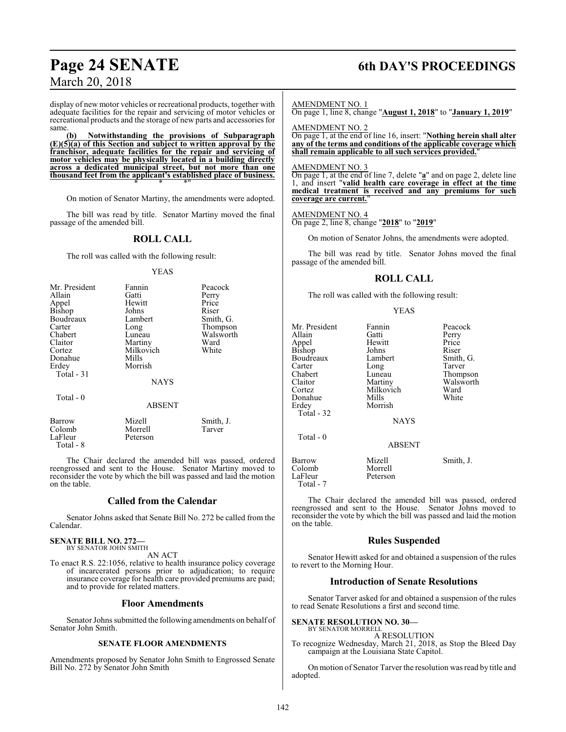### **Page 24 SENATE 6th DAY'S PROCEEDINGS**

display of new motor vehicles or recreational products, together with adequate facilities for the repair and servicing of motor vehicles or recreational products and the storage of new parts and accessories for same.

**(b) Notwithstanding the provisions of Subparagraph (E)(5)(a) of this Section and subject to written approval by the franchisor, adequate facilities for the repair and servicing of motor vehicles may be physically located in a building directly across a dedicated municipal street, but not more than one thousand feet from the applicant's established place of business.** \* \* \*"

On motion of Senator Martiny, the amendments were adopted.

The bill was read by title. Senator Martiny moved the final passage of the amended bill.

### **ROLL CALL**

The roll was called with the following result:

#### YEAS

| Mr. President | Fannin        | Peacock   |
|---------------|---------------|-----------|
| Allain        | Gatti         | Perry     |
| Appel         | Hewitt        | Price     |
| <b>Bishop</b> | Johns         | Riser     |
| Boudreaux     | Lambert       | Smith, G. |
| Carter        | Long          | Thompson  |
| Chabert       | Luneau        | Walsworth |
| Claitor       | Martiny       | Ward      |
| Cortez        | Milkovich     | White     |
| Donahue       | Mills         |           |
| Erdey         | Morrish       |           |
| Total - 31    |               |           |
|               | <b>NAYS</b>   |           |
| Total $-0$    |               |           |
|               | <b>ABSENT</b> |           |
| Barrow        | Mizell        | Smith, J. |
| Colomb        | Morrell       | Tarver    |

 Total - 8 The Chair declared the amended bill was passed, ordered reengrossed and sent to the House. Senator Martiny moved to reconsider the vote by which the bill was passed and laid the motion on the table.

### **Called from the Calendar**

Senator Johns asked that Senate Bill No. 272 be called from the Calendar.

### **SENATE BILL NO. 272—** BY SENATOR JOHN SMITH

LaFleur Peterson

AN ACT

To enact R.S. 22:1056, relative to health insurance policy coverage of incarcerated persons prior to adjudication; to require insurance coverage for health care provided premiums are paid; and to provide for related matters.

### **Floor Amendments**

Senator Johns submitted the following amendments on behalf of Senator John Smith.

### **SENATE FLOOR AMENDMENTS**

Amendments proposed by Senator John Smith to Engrossed Senate Bill No. 272 by Senator John Smith

#### AMENDMENT NO. 1

On page 1, line 8, change "**August 1, 2018**" to "**January 1, 2019**"

AMENDMENT NO. 2

On page 1, at the end of line 16, insert: "**Nothing herein shall alter any of the terms and conditions of the applicable coverage which shall remain applicable to all such services provided.**"

### AMENDMENT NO. 3

On page 1, at the end of line 7, delete "**a**" and on page 2, delete line 1, and insert "**valid health care coverage in effect at the time medical treatment is received and any premiums for such coverage are current.**"

AMENDMENT NO. 4

On page 2, line 8, change "**2018**" to "**2019**"

On motion of Senator Johns, the amendments were adopted.

The bill was read by title. Senator Johns moved the final passage of the amended bill.

### **ROLL CALL**

The roll was called with the following result:

#### YEAS

| Mr. President<br>Allain<br>Appel<br>Bishop<br>Boudreaux<br>Carter<br>Chabert<br>Claitor<br>Cortez<br>Donahue<br>Erdev<br>Total - 32<br>Total $-0$ | Fannin<br>Gatti<br>Hewitt<br>Johns<br>Lambert<br>Long<br>Luneau<br>Martiny<br>Milkovich<br>Mills<br>Morrish<br><b>NAYS</b> | Peacock<br>Perry<br>Price<br>Riser<br>Smith, G.<br>Tarver<br>Thompson<br>Walsworth<br>Ward<br>White |
|---------------------------------------------------------------------------------------------------------------------------------------------------|----------------------------------------------------------------------------------------------------------------------------|-----------------------------------------------------------------------------------------------------|
|                                                                                                                                                   | <b>ABSENT</b>                                                                                                              |                                                                                                     |
| Barrow<br>Colomb<br>LaFleur<br>Total - 7                                                                                                          | Mizell<br>Morrell<br>Peterson                                                                                              | Smith, J.                                                                                           |

The Chair declared the amended bill was passed, ordered reengrossed and sent to the House. Senator Johns moved to reconsider the vote by which the bill was passed and laid the motion on the table.

### **Rules Suspended**

Senator Hewitt asked for and obtained a suspension of the rules to revert to the Morning Hour.

### **Introduction of Senate Resolutions**

Senator Tarver asked for and obtained a suspension of the rules to read Senate Resolutions a first and second time.

#### **SENATE RESOLUTION NO. 30—** BY SENATOR MORRELL

A RESOLUTION

To recognize Wednesday, March 21, 2018, as Stop the Bleed Day campaign at the Louisiana State Capitol.

On motion of Senator Tarver the resolution was read by title and adopted.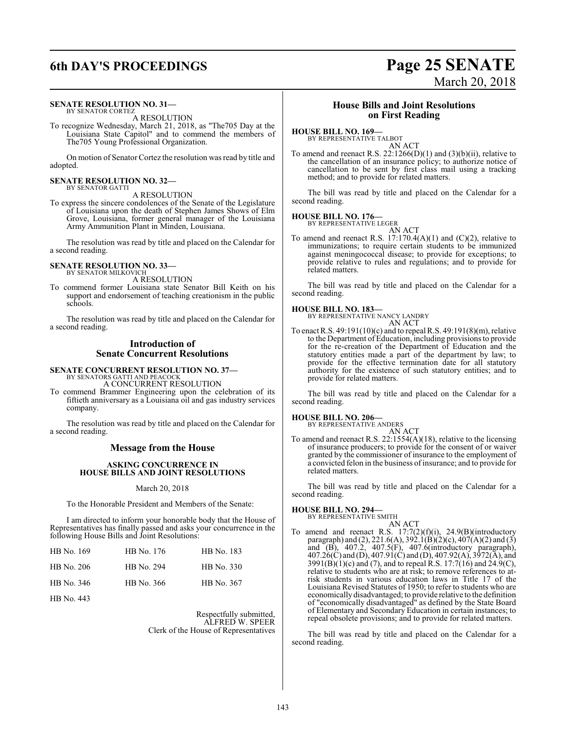## **6th DAY'S PROCEEDINGS Page 25 SENATE**

## **SENATE RESOLUTION NO. 31—**<br>BY SENATOR CORTEZ<br>A RESOLUTION

To recognize Wednesday, March 21, 2018, as "The705 Day at the Louisiana State Capitol" and to commend the members of The705 Young Professional Organization.

On motion of Senator Cortez the resolution was read by title and adopted.

### **SENATE RESOLUTION NO. 32—** BY SENATOR GATTI

A RESOLUTION

To express the sincere condolences of the Senate of the Legislature of Louisiana upon the death of Stephen James Shows of Elm Grove, Louisiana, former general manager of the Louisiana Army Ammunition Plant in Minden, Louisiana.

The resolution was read by title and placed on the Calendar for a second reading.

#### **SENATE RESOLUTION NO. 33—** BY SENATOR MILKOVICH

A RESOLUTION

To commend former Louisiana state Senator Bill Keith on his support and endorsement of teaching creationism in the public schools.

The resolution was read by title and placed on the Calendar for a second reading.

### **Introduction of Senate Concurrent Resolutions**

### **SENATE CONCURRENT RESOLUTION NO. 37—** BY SENATORS GATTI AND PEACOCK A CONCURRENT RESOLUTION

To commend Brammer Engineering upon the celebration of its fiftieth anniversary as a Louisiana oil and gas industry services company.

The resolution was read by title and placed on the Calendar for a second reading.

### **Message from the House**

### **ASKING CONCURRENCE IN HOUSE BILLS AND JOINT RESOLUTIONS**

### March 20, 2018

To the Honorable President and Members of the Senate:

I am directed to inform your honorable body that the House of Representatives has finally passed and asks your concurrence in the following House Bills and Joint Resolutions:

| HB No. 169 | HB No. 176 | HB No. 183        |
|------------|------------|-------------------|
| HB No. 206 | HB No. 294 | <b>HB</b> No. 330 |
| HB No. 346 | HB No. 366 | HB No. 367        |

HB No. 443

Respectfully submitted, ALFRED W. SPEER Clerk of the House of Representatives

### **House Bills and Joint Resolutions on First Reading**

### **HOUSE BILL NO. 169—**

BY REPRESENTATIVE TALBOT AN ACT

To amend and reenact R.S.  $22:1266(D)(1)$  and  $(3)(b)(ii)$ , relative to the cancellation of an insurance policy; to authorize notice of cancellation to be sent by first class mail using a tracking method; and to provide for related matters.

The bill was read by title and placed on the Calendar for a second reading.

**HOUSE BILL NO. 176—**

BY REPRESENTATIVE LEGER AN ACT

To amend and reenact R.S.  $17:170.4(A)(1)$  and  $(C)(2)$ , relative to immunizations; to require certain students to be immunized against meningococcal disease; to provide for exceptions; to provide relative to rules and regulations; and to provide for related matters.

The bill was read by title and placed on the Calendar for a second reading.

### **HOUSE BILL NO. 183—**

BY REPRESENTATIVE NANCY LANDRY AN ACT

To enact R.S. 49:191(10)(c) and to repeal R.S. 49:191(8)(m), relative to the Department of Education, including provisions to provide for the re-creation of the Department of Education and the statutory entities made a part of the department by law; to provide for the effective termination date for all statutory authority for the existence of such statutory entities; and to provide for related matters.

The bill was read by title and placed on the Calendar for a second reading.

**HOUSE BILL NO. 206—**

### BY REPRESENTATIVE ANDERS AN ACT

To amend and reenact R.S. 22:1554(A)(18), relative to the licensing of insurance producers; to provide for the consent of or waiver granted by the commissioner of insurance to the employment of a convicted felon in the business ofinsurance; and to provide for related matters.

The bill was read by title and placed on the Calendar for a second reading.

#### **HOUSE BILL NO. 294—** BY REPRESENTATIVE SMITH

- AN ACT To amend and reenact R.S. 17:7(2)(f)(i), 24.9(B)(introductory paragraph) and (2), 221.6(A), 392.1(B)(2)(c), 407(A)(2) and (3)
	- and (B), 407.2, 407.5(F), 407.6(introductory paragraph), 407.26(C) and (D), 407.91(C) and (D), 407.92(A), 3972(A), and 3991(B)(1)(c) and (7), and to repeal  $\hat{R}$ .S. 17:7(16) and 24.9(C), relative to students who are at risk; to remove references to atrisk students in various education laws in Title 17 of the Louisiana Revised Statutes of 1950; to refer to students who are economically disadvantaged; to provide relative to the definition of "economically disadvantaged" as defined by the State Board of Elementary and Secondary Education in certain instances; to repeal obsolete provisions; and to provide for related matters.

The bill was read by title and placed on the Calendar for a second reading.

# March 20, 2018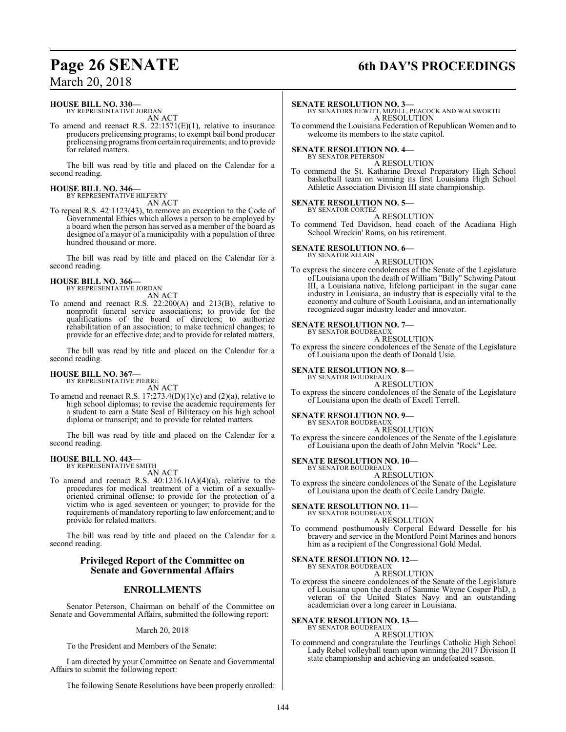### **HOUSE BILL NO. 330—**

BY REPRESENTATIVE JORDAN AN ACT

To amend and reenact R.S. 22:1571(E)(1), relative to insurance producers prelicensing programs; to exempt bail bond producer prelicensing programs fromcertain requirements; and to provide for related matters.

The bill was read by title and placed on the Calendar for a second reading.

### **HOUSE BILL NO. 346—** BY REPRESENTATIVE HILFERTY

AN ACT

To repeal R.S. 42:1123(43), to remove an exception to the Code of Governmental Ethics which allows a person to be employed by a board when the person has served as a member of the board as designee of a mayor of a municipality with a population of three hundred thousand or more.

The bill was read by title and placed on the Calendar for a second reading.

## **HOUSE BILL NO. 366—** BY REPRESENTATIVE JORDAN

AN ACT

To amend and reenact R.S. 22:200(A) and 213(B), relative to nonprofit funeral service associations; to provide for the qualifications of the board of directors; to authorize rehabilitation of an association; to make technical changes; to provide for an effective date; and to provide for related matters.

The bill was read by title and placed on the Calendar for a second reading.

## **HOUSE BILL NO. 367—** BY REPRESENTATIVE PIERRE

AN ACT

To amend and reenact R.S. 17:273.4(D)(1)(c) and (2)(a), relative to high school diplomas; to revise the academic requirements for a student to earn a State Seal of Biliteracy on his high school diploma or transcript; and to provide for related matters.

The bill was read by title and placed on the Calendar for a second reading.

### **HOUSE BILL NO. 443—**

BY REPRESENTATIVE SMITH AN ACT

To amend and reenact R.S.  $40:1216.1(A)(4)(a)$ , relative to the procedures for medical treatment of a victim of a sexuallyoriented criminal offense; to provide for the protection of a victim who is aged seventeen or younger; to provide for the requirements of mandatory reporting to law enforcement; and to provide for related matters.

The bill was read by title and placed on the Calendar for a second reading.

### **Privileged Report of the Committee on Senate and Governmental Affairs**

### **ENROLLMENTS**

Senator Peterson, Chairman on behalf of the Committee on Senate and Governmental Affairs, submitted the following report:

March 20, 2018

To the President and Members of the Senate:

I am directed by your Committee on Senate and Governmental Affairs to submit the following report:

The following Senate Resolutions have been properly enrolled:

## **Page 26 SENATE 6th DAY'S PROCEEDINGS**

### **SENATE RESOLUTION NO. 3—**

BY SENATORS HEWITT, MIZELL, PEACOCK AND WALSWORTH A RESOLUTION

To commend the Louisiana Federation of Republican Women and to welcome its members to the state capitol.

## **SENATE RESOLUTION NO. 4—**<br>BY SENATOR PETERSON

A RESOLUTION

To commend the St. Katharine Drexel Preparatory High School basketball team on winning its first Louisiana High School Athletic Association Division III state championship.

### **SENATE RESOLUTION NO. 5—** BY SENATOR CORTEZ

- A RESOLUTION
- To commend Ted Davidson, head coach of the Acadiana High School Wreckin' Rams, on his retirement.

### **SENATE RESOLUTION NO. 6—**

BY SENATOR ALLAIN A RESOLUTION

To express the sincere condolences of the Senate of the Legislature of Louisiana upon the death of William "Billy" Schwing Patout III, a Louisiana native, lifelong participant in the sugar cane industry in Louisiana, an industry that is especially vital to the economy and culture of South Louisiana, and an internationally recognized sugar industry leader and innovator.

### **SENATE RESOLUTION NO. 7—**<br>BY SENATOR BOUDREAUX

A RESOLUTION

To express the sincere condolences of the Senate of the Legislature of Louisiana upon the death of Donald Usie.

### **SENATE RESOLUTION NO. 8—**

BY SENATOR BOUDREAUX A RESOLUTION

To express the sincere condolences of the Senate of the Legislature of Louisiana upon the death of Excell Terrell.

### **SENATE RESOLUTION NO. 9—**

BY SENATOR BOUDREAUX A RESOLUTION

To express the sincere condolences of the Senate of the Legislature of Louisiana upon the death of John Melvin "Rock" Lee.

**SENATE RESOLUTION NO. 10—**

BY SENATOR BOUDREAUX A RESOLUTION

To express the sincere condolences of the Senate of the Legislature of Louisiana upon the death of Cecile Landry Daigle.

#### **SENATE RESOLUTION NO. 11—** BY SENATOR BOUDREAUX

### A RESOLUTION

To commend posthumously Corporal Edward Desselle for his bravery and service in the Montford Point Marines and honors him as a recipient of the Congressional Gold Medal.

### **SENATE RESOLUTION NO. 12—**<br>BY SENATOR BOUDREAUX

A RESOLUTION

To express the sincere condolences of the Senate of the Legislature of Louisiana upon the death of Sammie Wayne Cosper PhD, a veteran of the United States Navy and an outstanding academician over a long career in Louisiana.

#### **SENATE RESOLUTION NO. 13—** BY SENATOR BOUDREAUX

A RESOLUTION

To commend and congratulate the Teurlings Catholic High School Lady Rebel volleyball team upon winning the 2017 Division II state championship and achieving an undefeated season.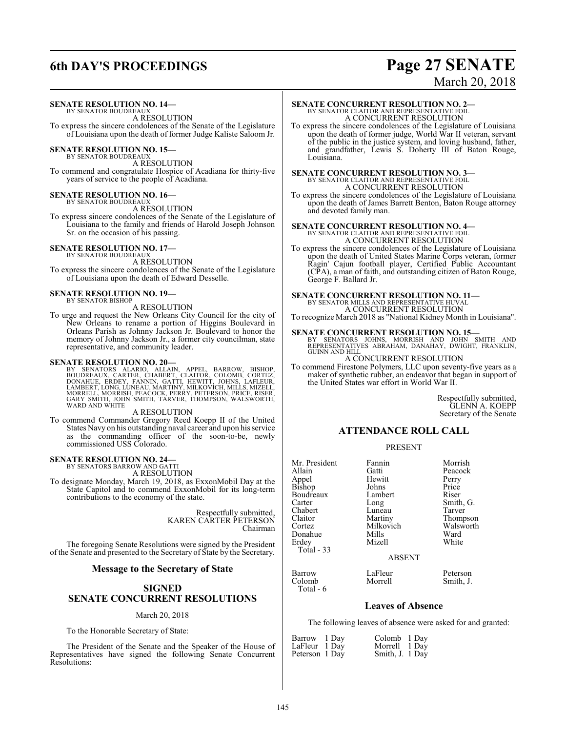## **6th DAY'S PROCEEDINGS Page 27 SENATE**

# March 20, 2018

#### **SENATE RESOLUTION NO. 14—** BY SENATOR BOUDREAUX

A RESOLUTION

To express the sincere condolences of the Senate of the Legislature of Louisiana upon the death of former Judge Kaliste Saloom Jr.

### **SENATE RESOLUTION NO. 15—**<br>BY SENATOR BOUDREAUX

A RESOLUTION To commend and congratulate Hospice of Acadiana for thirty-five years of service to the people of Acadiana.

#### **SENATE RESOLUTION NO. 16—** BY SENATOR BOUDREAUX

A RESOLUTION

To express sincere condolences of the Senate of the Legislature of Louisiana to the family and friends of Harold Joseph Johnson Sr. on the occasion of his passing.

### **SENATE RESOLUTION NO. 17—**

BY SENATOR BOUDREAUX A RESOLUTION

To express the sincere condolences of the Senate of the Legislature of Louisiana upon the death of Edward Desselle.

### **SENATE RESOLUTION NO. 19—** BY SENATOR BISHOP

A RESOLUTION

To urge and request the New Orleans City Council for the city of New Orleans to rename a portion of Higgins Boulevard in Orleans Parish as Johnny Jackson Jr. Boulevard to honor the memory of Johnny Jackson Jr., a former city councilman, state representative, and community leader.

SENATE RESOLUTION NO. 20—<br>BY SENATORS ALARIO, ALLAIN, APPEL, BARROW, BISHOP, BOUDREAUX, CARTER, CHABERT, CLAITOR, COLOMB, CORTEZ,<br>DONAHUE, ERDEY, FANNIN, GATTI, HEWITT, JOHNS, LAFLEUR,<br>LAMBERT, LONG, LUNEAU, MARTINY, MILKO WARD AND WHITE

### A RESOLUTION

To commend Commander Gregory Reed Koepp II of the United States Navy on his outstanding naval career and upon his service as the commanding officer of the soon-to-be, newly commissioned USS Colorado.

## **SENATE RESOLUTION NO. 24—** BY SENATORS BARROW AND GATTI

A RESOLUTION To designate Monday, March 19, 2018, as ExxonMobil Day at the State Capitol and to commend ExxonMobil for its long-term contributions to the economy of the state.

> Respectfully submitted, KAREN CARTER PETERSON Chairman

The foregoing Senate Resolutions were signed by the President of the Senate and presented to the Secretary of State by the Secretary.

### **Message to the Secretary of State**

### **SIGNED SENATE CONCURRENT RESOLUTIONS**

### March 20, 2018

To the Honorable Secretary of State:

The President of the Senate and the Speaker of the House of Representatives have signed the following Senate Concurrent Resolutions:

### **SENATE CONCURRENT RESOLUTION NO. 2—**

BY SENATOR CLAITOR AND REPRESENTATIVE FOIL A CONCURRENT RESOLUTION

To express the sincere condolences of the Legislature of Louisiana upon the death of former judge, World War II veteran, servant of the public in the justice system, and loving husband, father, and grandfather, Lewis S. Doherty III of Baton Rouge, Louisiana.

## **SENATE CONCURRENT RESOLUTION NO. 3—**<br>BY SENATOR CLAITOR AND REPRESENTATIVE FOIL<br>A CONCURRENT RESOLUTION

To express the sincere condolences of the Legislature of Louisiana upon the death of James Barrett Benton, Baton Rouge attorney and devoted family man.

## **SENATE CONCURRENT RESOLUTION NO. 4—**<br>BY SENATOR CLAITOR AND REPRESENTATIVE FOIL<br>A CONCURRENT RESOLUTION

To express the sincere condolences of the Legislature of Louisiana upon the death of United States Marine Corps veteran, former Ragin' Cajun football player, Certified Public Accountant (CPA), a man of faith, and outstanding citizen of Baton Rouge, George F. Ballard Jr.

### **SENATE CONCURRENT RESOLUTION NO. 11—** BY SENATOR MILLS AND REPRESENTATIVE HUVAL

A CONCURRENT RESOLUTION To recognize March 2018 as "National Kidney Month in Louisiana".

**SENATE CONCURRENT RESOLUTION NO. 15—**<br>BY SENATORS JOHNS, MORRISH AND JOHN SMITH AND<br>REPRESENTATIVES ABRAHAM, DANAHAY, DWIGHT, FRANKLIN, GUINN AND HILL

A CONCURRENT RESOLUTION

To commend Firestone Polymers, LLC upon seventy-five years as a maker of synthetic rubber, an endeavor that began in support of the United States war effort in World War II.

> Respectfully submitted, GLENN A. KOEPP Secretary of the Senate

### **ATTENDANCE ROLL CALL**

### PRESENT

| Mr. President   | Fannin                    | Morrish   |
|-----------------|---------------------------|-----------|
| Allain          | Gatti                     | Peacock   |
|                 | Hewitt                    | Perry     |
| Appel<br>Bishop | Johns                     | Price     |
| Boudreaux       | Lambert                   | Riser     |
| Carter          | Long                      | Smith, G. |
| Chabert         | Luneau                    | Tarver    |
| Claitor         | Martiny                   | Thompson  |
| Cortez          | Milkovich                 | Walsworth |
| Donahue         | Mills                     | Ward      |
| Erdey           | Mizell                    | White     |
| Total - 33      |                           |           |
|                 | <b>ABSENT</b>             |           |
| $\sqrt{ }$      | $\mathbf{r}$ $\mathbf{r}$ |           |

Barrow LaFleur Peterson<br>Colomb Morrell Smith, J.

### **Leaves of Absence**

The following leaves of absence were asked for and granted:

| Barrow 1 Day   | Colomb 1 Day    |  |
|----------------|-----------------|--|
| LaFleur 1 Day  | Morrell 1 Day   |  |
| Peterson 1 Day | Smith, J. 1 Day |  |

Colomb Total - 6